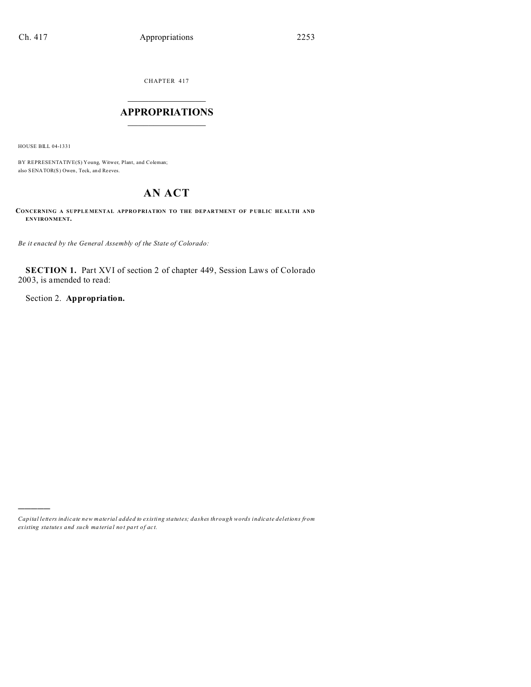CHAPTER 417  $\overline{\phantom{a}}$  , where  $\overline{\phantom{a}}$ 

# **APPROPRIATIONS**  $\_$   $\_$   $\_$   $\_$   $\_$   $\_$   $\_$   $\_$

HOUSE BILL 04-1331

)))))

BY REPRESENTATIVE(S) Young, Witwer, Plant, and Coleman; also SENATOR(S) Owen, Teck, an d Reeves.

# **AN ACT**

**CONCERNING A SUPPLEMENTAL APPROPRIATION TO THE DEPARTMENT OF PUBLIC HEALTH AND ENVIRONMENT.**

*Be it enacted by the General Assembly of the State of Colorado:*

**SECTION 1.** Part XVI of section 2 of chapter 449, Session Laws of Colorado 2003, is amended to read:

Section 2. **Appropriation.**

*Capital letters indicate new material added to existing statutes; dashes through words indicate deletions from ex isting statute s and such ma teria l no t pa rt of ac t.*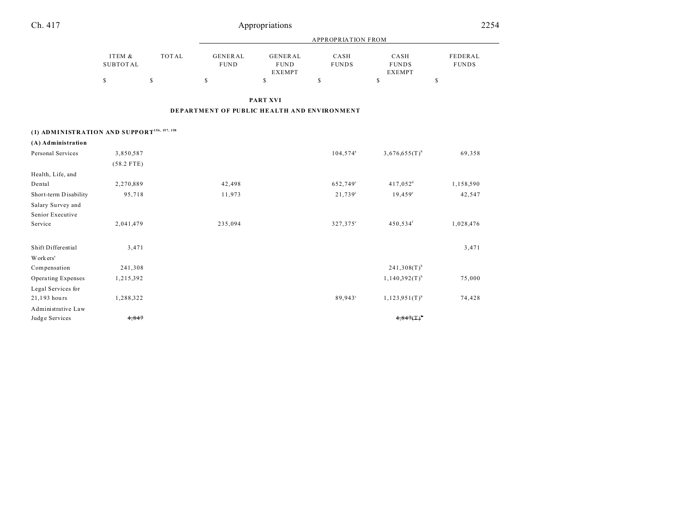| Ch. 417                                                 |                           |              |                                             | Appropriations                                 |                      |                                       | 2254                    |
|---------------------------------------------------------|---------------------------|--------------|---------------------------------------------|------------------------------------------------|----------------------|---------------------------------------|-------------------------|
|                                                         |                           |              | <b>APPROPRIATION FROM</b>                   |                                                |                      |                                       |                         |
|                                                         | ITEM &<br><b>SUBTOTAL</b> | <b>TOTAL</b> | <b>GENERAL</b><br><b>FUND</b>               | <b>GENERAL</b><br><b>FUND</b><br><b>EXEMPT</b> | CASH<br><b>FUNDS</b> | CASH<br><b>FUNDS</b><br><b>EXEMPT</b> | FEDERAL<br><b>FUNDS</b> |
|                                                         | \$                        | \$           | \$                                          | \$                                             | \$                   | \$                                    | \$                      |
|                                                         |                           |              |                                             | <b>PART XVI</b>                                |                      |                                       |                         |
|                                                         |                           |              | DEPARTMENT OF PUBLIC HEALTH AND ENVIRONMENT |                                                |                      |                                       |                         |
| (1) ADMINISTRATION AND SUPPORT <sup>156, 157, 158</sup> |                           |              |                                             |                                                |                      |                                       |                         |
| (A) Administration                                      |                           |              |                                             |                                                |                      |                                       |                         |
| Personal Services                                       | 3,850,587                 |              |                                             |                                                | 104,574 <sup>a</sup> | $3,676,655(T)$ <sup>b</sup>           | 69,358                  |
|                                                         | $(58.2$ FTE)              |              |                                             |                                                |                      |                                       |                         |
| Health, Life, and                                       |                           |              |                                             |                                                |                      |                                       |                         |
| Dental                                                  | 2,270,889                 |              | 42,498                                      |                                                | 652,749°             | $417,052$ <sup>d</sup>                | 1,158,590               |
| Short-term Disability                                   | 95,718                    |              | 11,973                                      |                                                | $21,739^{\circ}$     | $19,459^{\circ}$                      | 42,547                  |
| Salary Survey and                                       |                           |              |                                             |                                                |                      |                                       |                         |
| Senior Executive                                        |                           |              |                                             |                                                |                      |                                       |                         |
| Service                                                 | 2,041,479                 |              | 235,094                                     |                                                | 327,375°             | 450,534 <sup>f</sup>                  | 1,028,476               |
| Shift Differential                                      | 3,471                     |              |                                             |                                                |                      |                                       | 3,471                   |
| Workers'                                                |                           |              |                                             |                                                |                      |                                       |                         |
| Compensation                                            | 241,308                   |              |                                             |                                                |                      | $241,308(T)$ <sup>b</sup>             |                         |
| Operating Expenses                                      | 1,215,392                 |              |                                             |                                                |                      | $1,140,392(T)$ <sup>b</sup>           | 75,000                  |
| Legal Services for                                      |                           |              |                                             |                                                |                      |                                       |                         |
| 21,193 hours                                            | 1,288,322                 |              |                                             |                                                | 89,943°              | $1,123,951(T)^{b}$                    | 74,428                  |
| Administrative Law                                      |                           |              |                                             |                                                |                      |                                       |                         |
| Judge Services                                          | 4,847                     |              |                                             |                                                |                      | 4,847(1)                              |                         |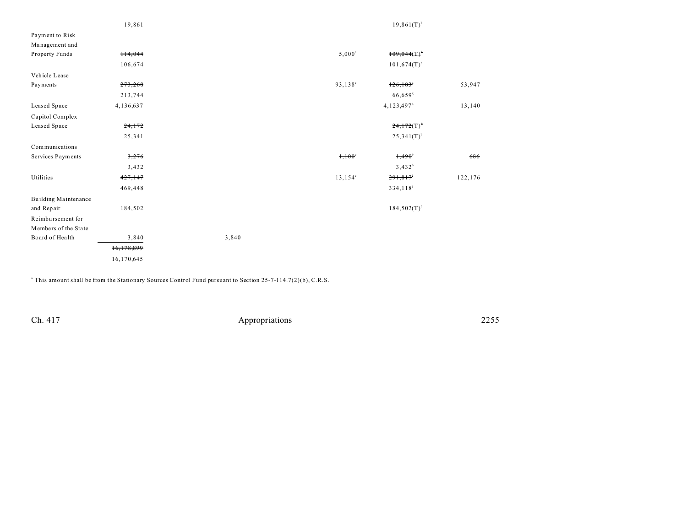|                      | 19,861     |       |                     | $19,861(T)^{b}$           |         |
|----------------------|------------|-------|---------------------|---------------------------|---------|
| Payment to Risk      |            |       |                     |                           |         |
| Management and       |            |       |                     |                           |         |
| Property Funds       | 114,044    |       | $5,000^{\circ}$     | 109,044(1)                |         |
|                      | 106,674    |       |                     | $101,674(T)$ <sup>b</sup> |         |
| Vehicle Lease        |            |       |                     |                           |         |
| Payments             | 273,268    |       | 93,138 <sup>c</sup> | $126, 183$ <sup>s</sup>   | 53,947  |
|                      | 213,744    |       |                     | $66,659$ <sup>g</sup>     |         |
| Leased Space         | 4,136,637  |       |                     | 4,123,497 <sup>h</sup>    | 13,140  |
| Capitol Complex      |            |       |                     |                           |         |
| Leased Space         | 24,172     |       |                     | $24,172(F)^*$             |         |
|                      | 25,341     |       |                     | $25,341(T)^{b}$           |         |
| Communications       |            |       |                     |                           |         |
| Services Payments    | 3,276      |       | $1,100^{\circ}$     | $1,490^{\circ}$           | 686     |
|                      | 3,432      |       |                     | $3,432^{b}$               |         |
| Utilities            | 427,147    |       | $13, 154^{\circ}$   | 291,817                   | 122,176 |
|                      | 469,448    |       |                     | 334,118 <sup>i</sup>      |         |
| Building Maintenance |            |       |                     |                           |         |
| and Repair           | 184,502    |       |                     | $184,502(T)^{b}$          |         |
| Reimbursement for    |            |       |                     |                           |         |
| Members of the State |            |       |                     |                           |         |
| Board of Health      | 3,840      | 3,840 |                     |                           |         |
|                      | 16,178,899 |       |                     |                           |         |
|                      | 16,170,645 |       |                     |                           |         |

a This amount shall be from the Stationary Sources Control Fund pursuant to Section 25-7-114.7(2)(b), C.R.S.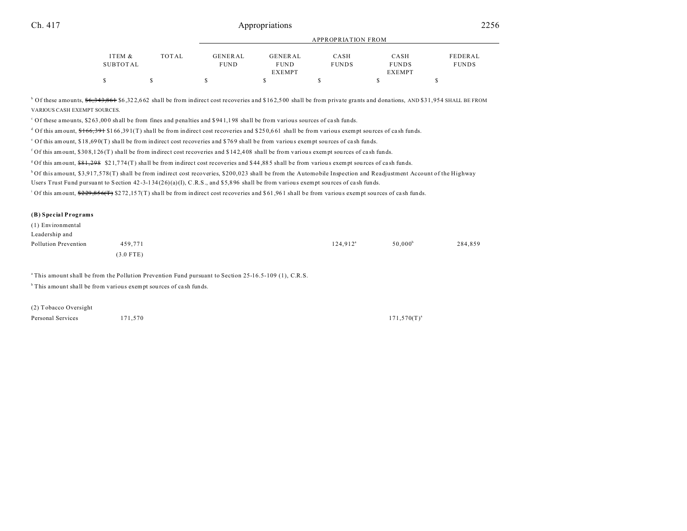## Ch. 417 **Appropriations** 2256

|          |       |                |               | APPROPRIATION FROM |               |              |
|----------|-------|----------------|---------------|--------------------|---------------|--------------|
| ITEM &   | TOTAL | <b>GENERAL</b> | GENERAL       | CASH               | CASH          | FEDERAL      |
| SUBTOTAL |       | <b>FUND</b>    | <b>FUND</b>   | <b>FUNDS</b>       | <b>FUNDS</b>  | <b>FUNDS</b> |
|          |       |                | <b>EXEMPT</b> |                    | <b>EXEMPT</b> |              |
|          |       |                |               |                    |               |              |

<sup>b</sup> Of these amounts, <del>\$6,343,861</del> \$6,322,662 shall be from indirect cost recoveries and \$162,500 shall be from private grants and donations, AND \$31,954 SHALL BE FROM VARIOUS CASH EXEMPT SOURCES.

<sup>c</sup> Of these amounts, \$263,000 shall be from fines and penalties and \$941,198 shall be from various sources of cash funds.

d Of this amount,  $166,391$  \$166,391(T) shall be from indirect cost recoveries and \$250,661 shall be from various exempt sources of cash funds.

e Of this amount, \$18 ,69 0(T) sha ll be from indirect cost recoveries and \$ 76 9 shall be from variou s exempt sou rces of ca sh funds.

f Of this amount, \$30 8,1 26 (T) sha ll be from indirect cost recoveries and \$ 14 2,4 08 shall be from various exempt sou rces of ca sh funds.

<sup>g</sup>Of this amount, \$81,298 \$21,774(T) shall be from indirect cost recoveries and \$44,885 shall be from various exempt sources of cash funds.

h Of this amount, \$3,917,578(T) shall be from indirect cost recoveries, \$200,023 shall be from the Automobile Inspection and Readjustment Account of the Highway

Users Trust Fund pursuant to Section 42-3-134(26)(a)(I), C.R.S., and \$5,896 shall be from various exempt sources of cash funds.

<sup>i</sup> Of this amount,  $229,856($ T) \$272,157(T) shall be from indirect cost recoveries and \$61,961 shall be from various exempt sources of cash funds.

#### **(B) Special Programs**

| (1) Environmental    |             |             |                     |         |
|----------------------|-------------|-------------|---------------------|---------|
| Leadership and       |             |             |                     |         |
| Pollution Prevention | 459.771     | $124.912^a$ | 50.000 <sup>b</sup> | 284,859 |
|                      | $(3.0$ FTE) |             |                     |         |

<sup>a</sup>This amount shall be from the Pollution Prevention Fund pursuant to Section 25-16.5-109 (1), C.R.S.

<sup>b</sup> This amount shall be from various exempt sources of cash funds.

(2) Tobacco Oversight Personal Services 171,570 171,570 171,570 171,570 171,570 171,570 171,570 171,570 171,570 171,570 171,570 171,570 171,570 171,570 171,570 171,570 171,570 171,570 171,570 171,570 171,570 171,570 171,570 171,570 171,570 171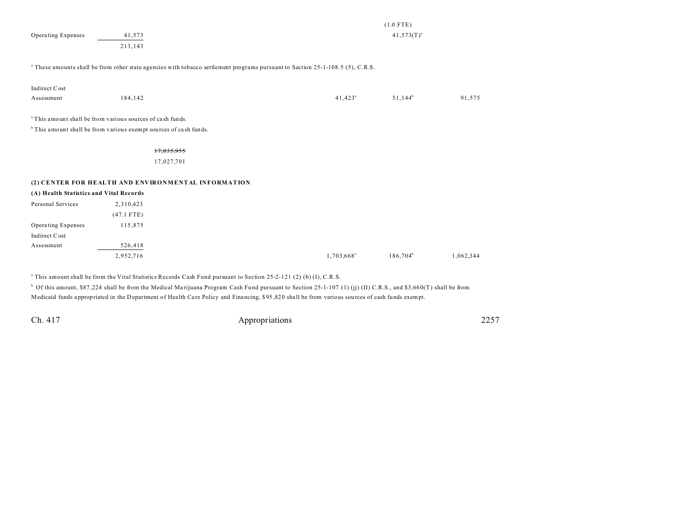|                                         |                                                                                                                                                       |                                                                                                                                           |                        | $(1.0$ FTE)     |           |
|-----------------------------------------|-------------------------------------------------------------------------------------------------------------------------------------------------------|-------------------------------------------------------------------------------------------------------------------------------------------|------------------------|-----------------|-----------|
| Operating Expenses                      | 41,573                                                                                                                                                |                                                                                                                                           |                        | $41,573(T)^{a}$ |           |
|                                         | 213,143                                                                                                                                               |                                                                                                                                           |                        |                 |           |
|                                         |                                                                                                                                                       | <sup>a</sup> These amounts shall be from other state agencies with tobacco settlement programs pursuant to Section 25-1-108.5 (5), C.R.S. |                        |                 |           |
| Indirect Cost                           |                                                                                                                                                       |                                                                                                                                           |                        |                 |           |
| Assessment                              | 184,142                                                                                                                                               |                                                                                                                                           | $41,423$ <sup>a</sup>  | $51,144^b$      | 91,575    |
|                                         | <sup>a</sup> This amount shall be from various sources of cash funds.<br><sup>b</sup> This amount shall be from various exempt sources of cash funds. |                                                                                                                                           |                        |                 |           |
|                                         | 17,035,955                                                                                                                                            |                                                                                                                                           |                        |                 |           |
|                                         | 17,027,701                                                                                                                                            |                                                                                                                                           |                        |                 |           |
|                                         | (2) CENTER FOR HEALTH AND ENVIRONMENTAL INFORMATION                                                                                                   |                                                                                                                                           |                        |                 |           |
| (A) Health Statistics and Vital Records |                                                                                                                                                       |                                                                                                                                           |                        |                 |           |
| Personal Services                       | 2,310,423                                                                                                                                             |                                                                                                                                           |                        |                 |           |
|                                         | $(47.1$ FTE)                                                                                                                                          |                                                                                                                                           |                        |                 |           |
| Operating Expenses                      | 115,875                                                                                                                                               |                                                                                                                                           |                        |                 |           |
| Indirect Cost                           |                                                                                                                                                       |                                                                                                                                           |                        |                 |           |
| Assessment                              | 526,418                                                                                                                                               |                                                                                                                                           |                        |                 |           |
|                                         | 2,952,716                                                                                                                                             |                                                                                                                                           | 1,703,668 <sup>a</sup> | $186,704^b$     | 1,062,344 |

a This amount shall be from the Vital Statistics Records Cash Fund pursuant to Section 25-2-121 (2) (b) (I), C.R.S.

<sup>b</sup> Of this amount, \$87,224 shall be from the Medical Marijuana Program Cash Fund pursuant to Section 25-1-107 (1) (jj) (II) C.R.S., and \$3,660(T) shall be from Medicaid funds appropriated in the Department of Health Care Policy and Financing, \$95,820 shall be from various sources of cash funds exempt.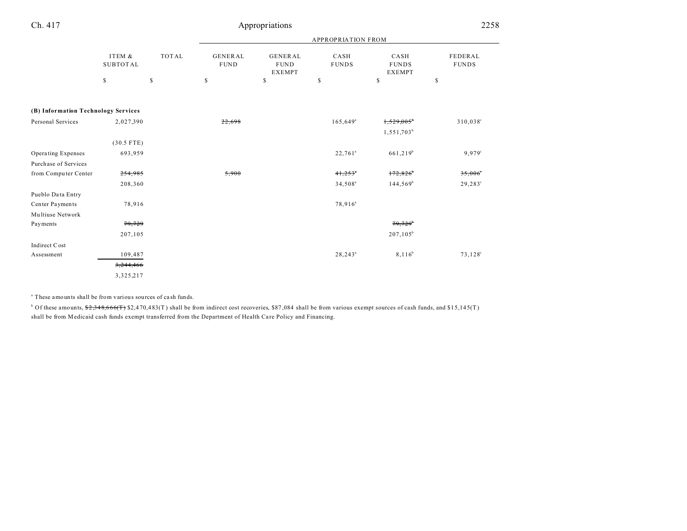| Ch. 417                             | Appropriations            |       |                               |                                                |                           |                                       | 2258                    |
|-------------------------------------|---------------------------|-------|-------------------------------|------------------------------------------------|---------------------------|---------------------------------------|-------------------------|
|                                     |                           |       |                               |                                                | <b>APPROPRIATION FROM</b> |                                       |                         |
|                                     | ITEM &<br><b>SUBTOTAL</b> | TOTAL | <b>GENERAL</b><br><b>FUND</b> | <b>GENERAL</b><br><b>FUND</b><br><b>EXEMPT</b> | CASH<br><b>FUNDS</b>      | CASH<br><b>FUNDS</b><br><b>EXEMPT</b> | FEDERAL<br><b>FUNDS</b> |
|                                     | \$                        | \$    | \$                            | \$                                             | \$                        | \$                                    | \$                      |
| (B) Information Technology Services |                           |       |                               |                                                |                           |                                       |                         |
| Personal Services                   | 2,027,390                 |       | 22,698                        |                                                | $165,649$ <sup>a</sup>    | 1,529,005<br>1,551,703 <sup>b</sup>   | 310,038°                |
|                                     | $(30.5$ FTE)              |       |                               |                                                |                           |                                       |                         |
| Operating Expenses                  | 693,959                   |       |                               |                                                | $22,761^a$                | 661,219 <sup>b</sup>                  | 9,979°                  |
| Purchase of Services                |                           |       |                               |                                                |                           |                                       |                         |
| from Computer Center                | 254,985                   |       | 5,900                         |                                                | $41,253$ <sup>*</sup>     | 172,826                               | $35,006^{\circ}$        |
|                                     | 208,360                   |       |                               |                                                | $34,508^a$                | $144,569^b$                           | $29,283^\circ$          |
| Pueblo Data Entry                   |                           |       |                               |                                                |                           |                                       |                         |
| Center Payments                     | 78,916                    |       |                               |                                                | $78,916^a$                |                                       |                         |
| Multiuse Network                    |                           |       |                               |                                                |                           |                                       |                         |
| Payments                            | 79,729                    |       |                               |                                                |                           | 79.729                                |                         |
|                                     | 207,105                   |       |                               |                                                |                           | $207, 105^b$                          |                         |
| Indirect Cost                       |                           |       |                               |                                                |                           |                                       |                         |
| Assessment                          | 109,487                   |       |                               |                                                | $28, 243^{\circ}$         | $8,116^b$                             | $73,128^{\circ}$        |
|                                     | 3,244,466                 |       |                               |                                                |                           |                                       |                         |
|                                     | 3,325,217                 |       |                               |                                                |                           |                                       |                         |
|                                     |                           |       |                               |                                                |                           |                                       |                         |

a These amounts shall be from various sources of ca sh funds.

 $\rm b$  Of these amounts,  $\frac{62,348,666(T)}{2,470,483(T)}$  shall be from indirect cost recoveries, \$87,084 shall be from various exempt sources of cash funds, and \$15,145(T) shall be from Medicaid cash funds exempt transferred from the Department of Health Care Policy and Financing.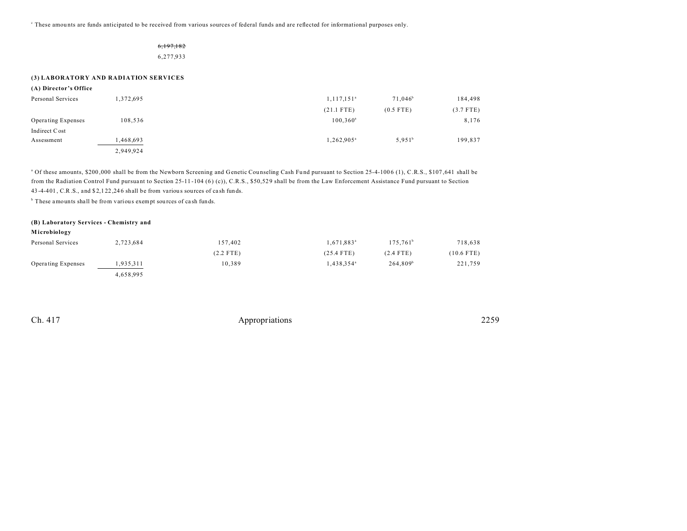These amounts are funds anticipated to be received from various sources of federal funds and are reflected for informational purposes only.

# 6,197,182

6,277,933

#### **(3) LABORATORY AND RADIATION SERVICES**

| (A) Director's Office |  |
|-----------------------|--|
|-----------------------|--|

| Personal Services  | 372,695   | 1, 117, 151 <sup>a</sup> | $71.046^b$  | 184,498     |
|--------------------|-----------|--------------------------|-------------|-------------|
|                    |           | $(21.1$ FTE)             | $(0.5$ FTE) | $(3.7$ FTE) |
| Operating Expenses | 108,536   | $100,360^a$              |             | 8,176       |
| Indirect Cost      |           |                          |             |             |
| Assessment         | .468,693  | 1,262,905 <sup>a</sup>   | $5,951^b$   | 199,837     |
|                    | 2,949,924 |                          |             |             |

<sup>a</sup> Of these amounts, \$200,000 shall be from the Newborn Screening and Genetic Counseling Cash Fund pursuant to Section 25-4-1006 (1), C.R.S., \$107,641 shall be from the Radiation Control Fund pursuant to Section 25-11-104 (6) (c)), C.R.S., \$50,529 shall be from the Law Enforcement Assistance Fund pursuant to Section 43 -4-401 , C.R.S., and \$ 2,1 22 ,24 6 shall be from variou s sources of ca sh funds.

<sup>b</sup> These amounts shall be from various exempt sources of cash funds.

# **(B) Laboratory Services - Chemistry and**

**M icrobiology**

| Personal Services  | 2,723,684 | 157,402     | $1,671,883^{\circ}$ | 175.761 <sup>b</sup> | 718,638      |
|--------------------|-----------|-------------|---------------------|----------------------|--------------|
|                    |           | $(2.2$ FTE) | $(25.4$ FTE)        | $(2.4$ FTE)          | $(10.6$ FTE) |
| Operating Expenses | !935.311  | 10.389      | $1,438,354^{\circ}$ | 264.809 <sup>b</sup> | 221,759      |
|                    | 4,658,995 |             |                     |                      |              |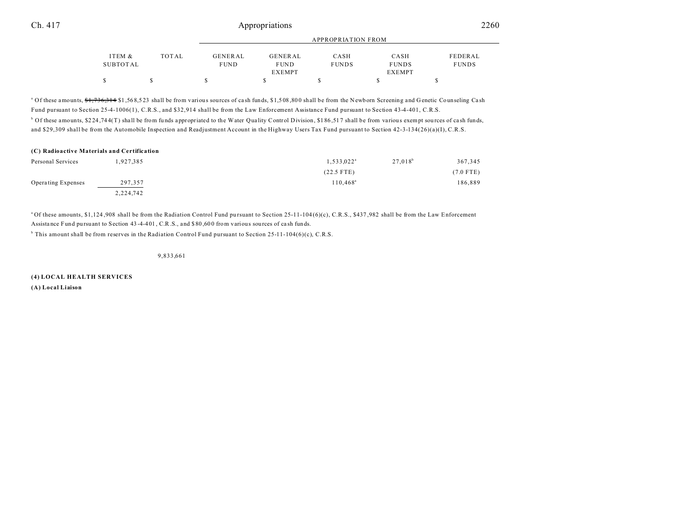|          |       |                |               | APPROPRIATION FROM |               |              |
|----------|-------|----------------|---------------|--------------------|---------------|--------------|
| ITEM &   | TOTAL | <b>GENERAL</b> | GENERAL       | CASH               | CASH          | FEDERAL      |
| SUBTOTAL |       | <b>FUND</b>    | <b>FUND</b>   | <b>FUNDS</b>       | <b>FUNDS</b>  | <b>FUNDS</b> |
|          |       |                | <b>EXEMPT</b> |                    | <b>EXEMPT</b> |              |
|          |       |                |               |                    |               |              |

<sup>a</sup> Of these amounts,  $\frac{41}{30}$ ,  $\frac{44}{31}$ ,  $\frac{568}{523}$  shall be from various sources of cash funds, \$1,508,800 shall be from the Newborn Screening and Genetic Counseling Cash Fund pursuant to Section 25-4-1006(1), C.R.S., and \$32,914 shall be from the Law Enforcement Assistance Fund pursuant to Section 43-4-401, C.R.S. <sup>b</sup> Of these amounts, \$224,744(T) shall be from funds appropriated to the Water Quality Control Division, \$186,517 shall be from various exempt sources of cash funds, and \$29,309 shall be from the Automobile Inspection and Readjustment Account in the Highway Users Tax Fund pursuant to Section 42-3-134(26)(a)(I), C.R.S.

| (C) Radioactive Materials and Certification |           |                        |            |             |  |
|---------------------------------------------|-----------|------------------------|------------|-------------|--|
| Personal Services                           | 1.927.385 | 1,533,022 <sup>a</sup> | $27.018^b$ | 367,345     |  |
|                                             |           | $(22.5$ FTE)           |            | $(7.0$ FTE) |  |
| <b>Operating Expenses</b>                   | 297,357   | $110.468^{\circ}$      |            | 186,889     |  |
|                                             | 2,224,742 |                        |            |             |  |

<sup>a</sup>Of these amounts, \$1,124,908 shall be from the Radiation Control Fund pursuant to Section 25-11-104(6)(c), C.R.S., \$437,982 shall be from the Law Enforcement Assistance Fund pursuant to Section 43-4-401, C.R.S., and \$80,600 from various sources of cash funds.

 $b$  This amount shall be from reserves in the Radiation Control Fund pursuant to Section 25-11-104(6)(c), C.R.S.

9,833,661

**(4) LOCAL HEALTH SERVICES (A) Local Liaison**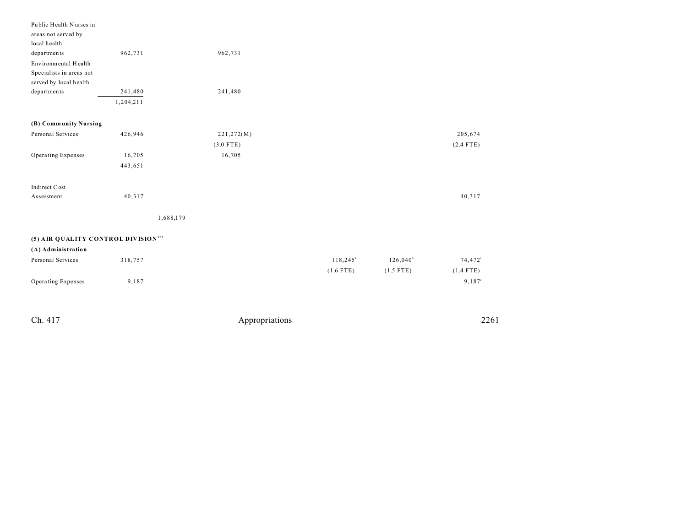| 962,731   |                   | 962,731                                         |                                     |             |                     |
|-----------|-------------------|-------------------------------------------------|-------------------------------------|-------------|---------------------|
|           |                   |                                                 |                                     |             |                     |
|           |                   |                                                 |                                     |             |                     |
|           |                   |                                                 |                                     |             |                     |
| 241,480   |                   | 241,480                                         |                                     |             |                     |
| 1,204,211 |                   |                                                 |                                     |             |                     |
|           |                   |                                                 |                                     |             |                     |
| 426,946   |                   |                                                 |                                     |             | 205,674             |
|           |                   |                                                 |                                     |             | $(2.4$ FTE)         |
|           |                   |                                                 |                                     |             |                     |
|           |                   |                                                 |                                     |             |                     |
|           |                   |                                                 |                                     |             |                     |
|           |                   |                                                 |                                     |             |                     |
| 40,317    |                   |                                                 |                                     |             | 40,317              |
|           | 1,688,179         |                                                 |                                     |             |                     |
|           |                   |                                                 |                                     |             |                     |
|           |                   |                                                 |                                     |             |                     |
|           |                   |                                                 |                                     |             |                     |
| 318,757   |                   |                                                 | $118,245^{\circ}$                   | $126,040^b$ | 74,472 <sup>c</sup> |
|           |                   |                                                 | $(1.6$ FTE)                         | $(1.5$ FTE) | $(1.4$ FTE)         |
| 9,187     |                   |                                                 |                                     |             | $9,187^{\circ}$     |
|           | 16,705<br>443,651 | (5) AIR QUALITY CONTROL DIVISION <sup>159</sup> | 221,272(M)<br>$(3.0$ FTE)<br>16,705 |             |                     |

| Ch. 417 | Appropriations | 2261 |
|---------|----------------|------|
|         |                |      |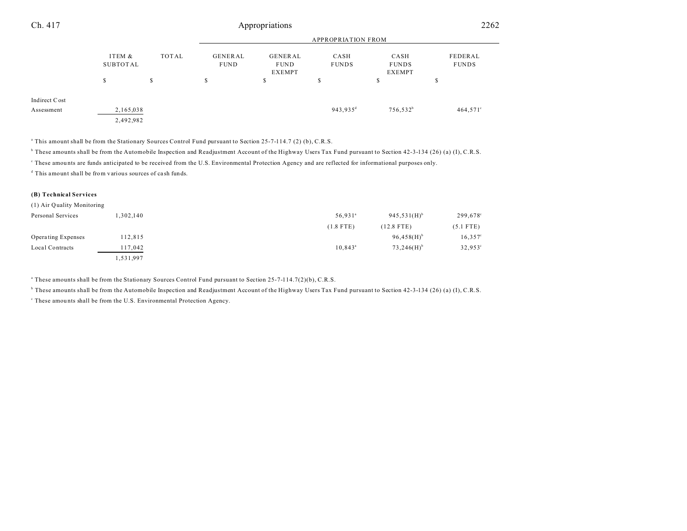| Ch. 417       |                           |       |                        | Appropriations                          |                      |                                       | 2262                    |  |
|---------------|---------------------------|-------|------------------------|-----------------------------------------|----------------------|---------------------------------------|-------------------------|--|
|               | <b>APPROPRIATION FROM</b> |       |                        |                                         |                      |                                       |                         |  |
|               | ITEM &<br>SUBTOTAL        | TOTAL | GENERAL<br><b>FUND</b> | GENERAL<br><b>FUND</b><br><b>EXEMPT</b> | CASH<br><b>FUNDS</b> | CASH<br><b>FUNDS</b><br><b>EXEMPT</b> | FEDERAL<br><b>FUNDS</b> |  |
|               | S                         | \$    | \$                     | \$                                      | \$                   | c<br>ъ                                | \$                      |  |
| Indirect Cost |                           |       |                        |                                         |                      |                                       |                         |  |
| Assessment    | 2,165,038                 |       |                        |                                         | 943,935 <sup>d</sup> | $756,532^b$                           | $464,571^{\circ}$       |  |
|               | 2,492,982                 |       |                        |                                         |                      |                                       |                         |  |

a This amount shall be from the Stationary Sources Control Fund pursuant to Section 25-7-114.7 (2) (b), C.R.S.

b These amounts shall be from the Automobile Inspection and Readjustment Account of the Highway Users Tax Fund pursuant to Section 42-3-134 (26) (a) (I), C.R.S.

c These amou nts are funds anticipated to be received from the U.S. Environmental Protection Agency and are reflected for informational purposes only.

d This amount shall be from various sources of ca sh funds.

#### **(B) Technical Services**

| (1) Air Quality Monitoring |           |                     |                           |             |
|----------------------------|-----------|---------------------|---------------------------|-------------|
| Personal Services          | 1,302,140 | 56,931 <sup>a</sup> | $945,531(H)$ <sup>b</sup> | 299,678°    |
|                            |           | $(1.8$ FTE)         | $(12.8$ FTE)              | $(5.1$ FTE) |
| Operating Expenses         | 112,815   |                     | $96,458(H)$ <sup>b</sup>  | $16,357$ °  |
| Local Contracts            | 117,042   | $10.843^{\circ}$    | $73,246(H)$ <sup>b</sup>  | 32,953°     |
|                            | 1,531,997 |                     |                           |             |

a These amounts shall be from the Stationary Sources Control Fund pursuant to Section 25-7-114.7(2)(b), C.R.S.

<sup>b</sup> These amounts shall be from the Automobile Inspection and Readjustment Account of the Highway Users Tax Fund pursuant to Section 42-3-134 (26) (a) (I), C.R.S.

<sup>c</sup> These amounts shall be from the U.S. Environmental Protection Agency.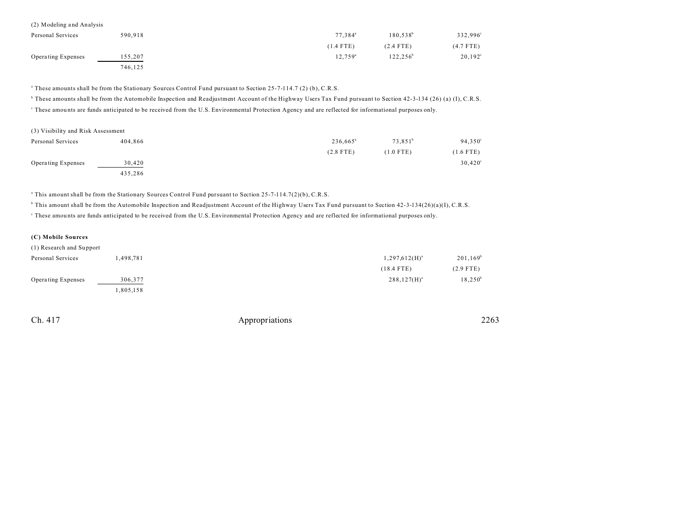| (2) Modeling and Analysis |         |                     |               |                  |
|---------------------------|---------|---------------------|---------------|------------------|
| Personal Services         | 590.918 | 77.384 <sup>a</sup> | $180.538^{b}$ | 332,996°         |
|                           |         | $(1.4$ FTE)         | $(2.4$ FTE)   | $(4.7$ FTE)      |
| Operating Expenses        | 155.207 | $12.759^{\circ}$    | $122.256^b$   | $20,192^{\circ}$ |
|                           | 746,125 |                     |               |                  |

a These amounts shall be from the Stationary Sources Control Fund pursuant to Section 25-7-114.7 (2) (b), C.R.S.

b These amounts shall be from the Automobile Inspection and Readjustment Account of the Highway Users Tax Fund pursuant to Section 42-3-134 (26) (a) (I), C.R.S.

c These amou nts are funds anticipated to be received from the U.S. Environmental Protection Agency and are reflected for informational purposes only.

| (3) Visibility and Risk Assessment |         |                      |                  |                  |
|------------------------------------|---------|----------------------|------------------|------------------|
| Personal Services                  | 404.866 | 236,665 <sup>a</sup> | $73.851^{\circ}$ | $94,350^{\circ}$ |
|                                    |         | $(2.8$ FTE)          | $(1.0$ FTE)      | $(1.6$ FTE)      |
| Operating Expenses                 | 30.420  |                      |                  | $30,420^{\circ}$ |
|                                    | 435,286 |                      |                  |                  |

a This amount shall be from the Stationary Sources Control Fund pursuant to Section 25-7-114.7(2)(b), C.R.S.

b This amount shall be from the Automobile Inspection and Readjustment Account of the Highway Users Tax Fund pursuant to Section 42-3-134(26)(a)(I), C.R.S.

c These amou nts are funds anticipated to be received from the U.S. Environmental Protection Agency and are reflected for informational purposes only.

## **(C) Mobile Sources**

| (1) Research and Support |          |                    |             |
|--------------------------|----------|--------------------|-------------|
| Personal Services        | .498.781 | $1,297,612(H)^{a}$ | $201,169^b$ |
|                          |          | $(18.4$ FTE)       | $(2.9$ FTE) |
| Operating Expenses       | 306,377  | $288,127(H)^{a}$   | $18,250^b$  |
|                          | .805,158 |                    |             |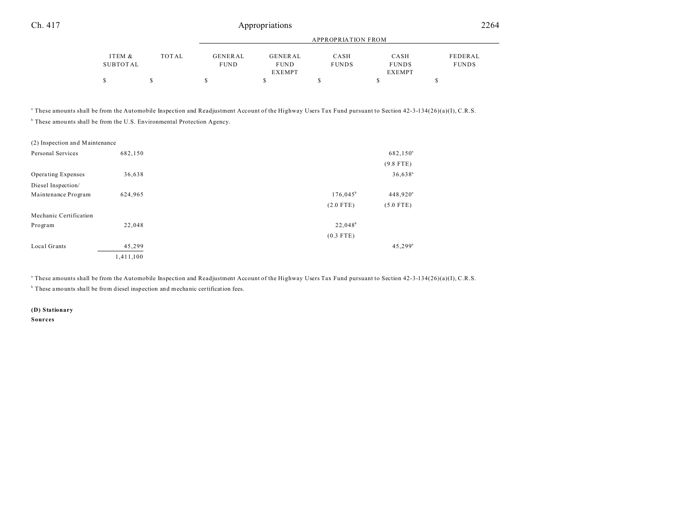|          |       | APPROPRIATION FROM |               |              |               |              |
|----------|-------|--------------------|---------------|--------------|---------------|--------------|
| ITEM &   | TOTAL | GENERAL            | GENERAL       | CASH         | CASH          | FEDERAL      |
| SUBTOTAL |       | <b>FUND</b>        | <b>FUND</b>   | <b>FUNDS</b> | <b>FUNDS</b>  | <b>FUNDS</b> |
|          |       |                    | <b>EXEMPT</b> |              | <b>EXEMPT</b> |              |
|          |       |                    |               |              |               |              |

a These amounts shall be from the Automobile Inspection and Readjustment Account of the Highway Users Tax Fund pursuant to Section 42-3-134(26)(a)(I), C.R.S.

<sup>b</sup> These amounts shall be from the U.S. Environmental Protection Agency.

| (2) Inspection and Maintenance |           |             |                       |
|--------------------------------|-----------|-------------|-----------------------|
| Personal Services              | 682,150   |             | 682,150 <sup>a</sup>  |
|                                |           |             | $(9.8$ FTE)           |
| Operating Expenses             | 36,638    |             | $36,638^a$            |
| Diesel Inspection/             |           |             |                       |
| Maintenance Program            | 624,965   | $176,045^b$ | 448,920 <sup>a</sup>  |
|                                |           | $(2.0$ FTE) | $(5.0$ FTE)           |
| Mechanic Certification         |           |             |                       |
| Program                        | 22,048    | $22,048^b$  |                       |
|                                |           | $(0.3$ FTE) |                       |
| Local Grants                   | 45,299    |             | $45,299$ <sup>a</sup> |
|                                | 1,411,100 |             |                       |

a These amounts shall be from the Automobile Inspection and Readjustment Account of the Highway Users Tax Fund pursuant to Section 42-3-134(26)(a)(I), C.R.S.

<sup>b</sup> These amounts shall be from diesel inspection and mechanic certification fees.

**(D) Stationary Sources**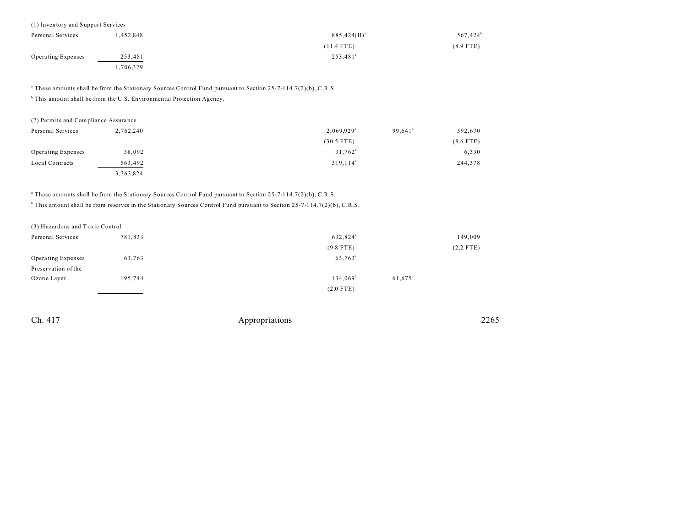| (1) Inventory and Support Services |          |                      |                        |
|------------------------------------|----------|----------------------|------------------------|
| Personal Services                  | .452.848 | $885,424(H)^{a}$     | $567,424$ <sup>b</sup> |
|                                    |          | $(11.4$ FTE)         | $(8.9$ FTE)            |
| <b>Operating Expenses</b>          | 253,481  | 253,481 <sup>ª</sup> |                        |
|                                    | ,706,329 |                      |                        |

a These amounts shall be from the Stationary Sources Control Fund pursuant to Section 25-7-114.7(2)(b), C.R.S.

<sup>b</sup> This amount shall be from the U.S. Environmental Protection Agency.

| (2) Permits and Compliance Assurance |           |                                        |             |
|--------------------------------------|-----------|----------------------------------------|-------------|
| Personal Services                    | 2,762,240 | $99.641^b$<br>$2.069.929$ <sup>a</sup> | 592.670     |
|                                      |           | $(30.5$ FTE)                           | $(8.6$ FTE) |
| Operating Expenses                   | 38,092    | $31,762^{\circ}$                       | 6,330       |
| Local Contracts                      | 563,492   | 319.114 <sup>a</sup>                   | 244,378     |
|                                      | 3,363,824 |                                        |             |

a These amounts shall be from the Stationary Sources Control Fund pursuant to Section 25-7-114.7(2)(b), C.R.S.

b This amount shall be from reserves in the Stationary Sources Control Fund pursuant to Section 25-7-114.7(2)(b), C.R.S.

(3) Hazardous and T oxic Control

| Personal Services         | 781,833 | 632,824 <sup>a</sup> |                  | 149,009     |
|---------------------------|---------|----------------------|------------------|-------------|
|                           |         | $(9.8$ FTE)          |                  | $(2.2$ FTE) |
| <b>Operating Expenses</b> | 63,763  | 63,763 <sup>a</sup>  |                  |             |
| Preservation of the       |         |                      |                  |             |
| Ozone Layer               | 195,744 | 134,069 <sup>b</sup> | $61,675^{\circ}$ |             |
|                           |         | $(2.0$ FTE)          |                  |             |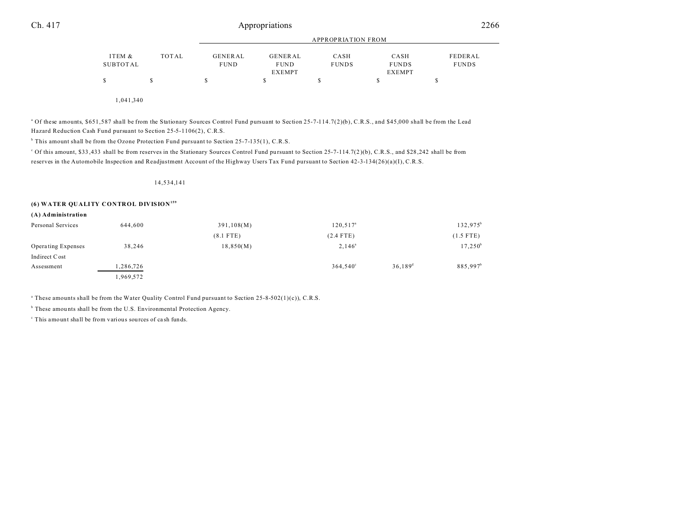|                    |       |                        | <b>APPROPRIATION FROM</b> |                      |                      |                         |
|--------------------|-------|------------------------|---------------------------|----------------------|----------------------|-------------------------|
| ITEM &<br>SUBTOTAL | TOTAL | GENERAL<br><b>FUND</b> | GENERAL<br><b>FUND</b>    | CASH<br><b>FUNDS</b> | CASH<br><b>FUNDS</b> | FEDERAL<br><b>FUNDS</b> |
|                    |       |                        | EXEMPT                    |                      | <b>EXEMPT</b>        |                         |
|                    |       |                        |                           |                      |                      |                         |

1,041,340

<sup>a</sup> Of these amounts, \$651,587 shall be from the Stationary Sources Control Fund pursuant to Section 25-7-114.7(2)(b), C.R.S., and \$45,000 shall be from the Lead Hazard Reduction Cash Fund pursuant to Section 25-5-1106(2), C.R.S.

<sup>b</sup> This amount shall be from the Ozone Protection Fund pursuant to Section 25-7-135(1), C.R.S.

of this amount, \$33,433 shall be from reserves in the Stationary Sources Control Fund pursuant to Section 25-7-114.7(2)(b), C.R.S., and \$28,242 shall be from reserves in the Automobile Inspection and Readjustment Account of the Highway Users Tax Fund pursuant to Section 42-3-134(26)(a)(I), C.R.S.

#### 14,534,141

#### **(6) WATER QUALITY CONTROL DIVISION<sup>159</sup>**

| Personal Services  | 644,600   | 391,108(M)  | $120, 517^{\circ}$ |                  | $132,975^b$          |
|--------------------|-----------|-------------|--------------------|------------------|----------------------|
|                    |           | $(8.1$ FTE) | $(2.4$ FTE)        |                  | $(1.5$ FTE)          |
| Operating Expenses | 38,246    | 18,850(M)   | $2.146^{\rm a}$    |                  | $17,250^{\rm b}$     |
| Indirect Cost      |           |             |                    |                  |                      |
| Assessment         | 1,286,726 |             | $364.540^{\circ}$  | $36,189^{\rm d}$ | 885,997 <sup>b</sup> |
|                    | .969,572  |             |                    |                  |                      |

<sup>a</sup> These amounts shall be from the Water Quality Control Fund pursuant to Section 25-8-502(1)(c)), C.R.S.

<sup>b</sup> These amounts shall be from the U.S. Environmental Protection Agency.

c This amount shall be from various sources of ca sh funds.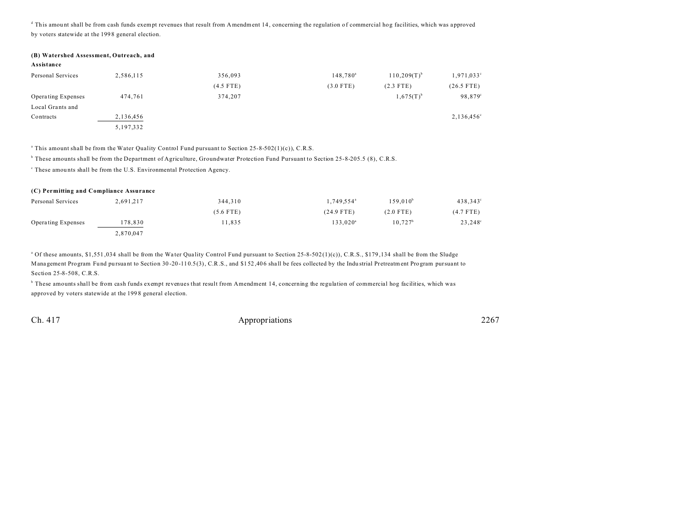d This amou nt shall be from cash funds exempt revenues that result from Amendment 14, concerning the regulation of commercial hog facilities, which was a pproved by voters statewide at the 199 8 general election.

#### **(B) Watershed Assessment, Outreach, and**

| Assistance |  |  |
|------------|--|--|
|------------|--|--|

| Personal Services  | 2,586,115   | 356,093     | $148,780^a$ | $110,209(T)^{b}$ | $1,971,033^{\circ}$ |
|--------------------|-------------|-------------|-------------|------------------|---------------------|
|                    |             | $(4.5$ FTE) | $(3.0$ FTE) | $(2.3$ FTE)      | $(26.5$ FTE)        |
| Operating Expenses | 474.761     | 374,207     |             | $1,675(T)^{b}$   | 98,879°             |
| Local Grants and   |             |             |             |                  |                     |
| Contracts          | 2,136,456   |             |             |                  | $2,136,456^{\circ}$ |
|                    | 5, 197, 332 |             |             |                  |                     |

a This amount shall be from the Water Quality Control Fund pursuant to Section 25-8-502(1)(c)), C.R.S.

<sup>b</sup> These amounts shall be from the Department of Agriculture, Groundwater Protection Fund Pursuant to Section 25-8-205.5 (8), C.R.S.

<sup>c</sup> These amounts shall be from the U.S. Environmental Protection Agency.

| (C) Permitting and Compliance Assurance |           |             |                        |               |                  |  |
|-----------------------------------------|-----------|-------------|------------------------|---------------|------------------|--|
| Personal Services                       | 2,691,217 | 344.310     | 1.749.554 <sup>a</sup> | $159.010^{b}$ | 438,343°         |  |
|                                         |           | $(5.6$ FTE) | $(24.9$ FTE)           | $(2.0$ FTE)   | $(4.7$ FTE)      |  |
| Operating Expenses                      | 178.830   | 11.835      | $133.020^a$            | $10.727^b$    | $23,248^{\circ}$ |  |
|                                         | 2,870,047 |             |                        |               |                  |  |

<sup>a</sup> Of these amounts, \$1,551,034 shall be from the Water Quality Control Fund pursuant to Section 25-8-502(1)(c)), C.R.S., \$179,134 shall be from the Sludge Mana gement Program Fund pursuant to Section 30-20-110.5(3), C.R.S., and \$152,406 shall be fees collected by the Industrial Pretreatment Program pursuant to Section 25-8-508, C.R.S.

b These amounts shall be from cash funds exempt revenues that result from Amendment 14, concerning the regulation of commercial hog facilities, which was approved by voters statewide at the 1998 general election.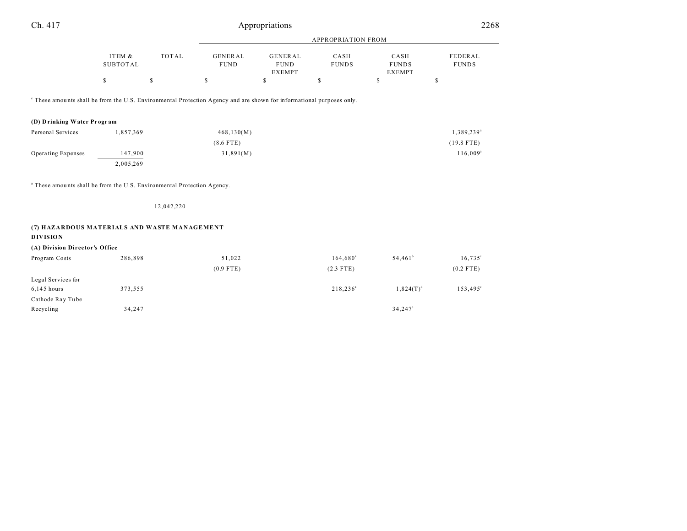| Ch. 417                                                                                                                          |                           |              |                               | Appropriations                                 |                      |                                       | 2268                    |
|----------------------------------------------------------------------------------------------------------------------------------|---------------------------|--------------|-------------------------------|------------------------------------------------|----------------------|---------------------------------------|-------------------------|
|                                                                                                                                  |                           |              | APPROPRIATION FROM            |                                                |                      |                                       |                         |
|                                                                                                                                  | ITEM &<br><b>SUBTOTAL</b> | <b>TOTAL</b> | <b>GENERAL</b><br><b>FUND</b> | <b>GENERAL</b><br><b>FUND</b><br><b>EXEMPT</b> | CASH<br><b>FUNDS</b> | CASH<br><b>FUNDS</b><br><b>EXEMPT</b> | FEDERAL<br><b>FUNDS</b> |
|                                                                                                                                  | \$                        | $\mathbb{S}$ | \$                            | $\mathbb{S}$                                   | \$                   | \$                                    | \$                      |
| <sup>c</sup> These amounts shall be from the U.S. Environmental Protection Agency and are shown for informational purposes only. |                           |              |                               |                                                |                      |                                       |                         |
| (D) Drinking Water Program                                                                                                       |                           |              |                               |                                                |                      |                                       |                         |
| Personal Services                                                                                                                | 1,857,369                 |              | 468, 130(M)                   |                                                |                      |                                       | 1,389,239 <sup>a</sup>  |
|                                                                                                                                  |                           |              | $(8.6$ FTE)                   |                                                |                      |                                       | $(19.8$ FTE)            |
| Operating Expenses                                                                                                               | 147,900                   |              | 31,891(M)                     |                                                |                      |                                       | $116,009^{\circ}$       |
|                                                                                                                                  | 2,005,269                 |              |                               |                                                |                      |                                       |                         |
| <sup>a</sup> These amounts shall be from the U.S. Environmental Protection Agency.                                               |                           |              |                               |                                                |                      |                                       |                         |
|                                                                                                                                  |                           | 12,042,220   |                               |                                                |                      |                                       |                         |
| (7) HAZARDOUS MATERIALS AND WASTE MANAGEMENT<br><b>DIVISION</b>                                                                  |                           |              |                               |                                                |                      |                                       |                         |
| (A) Division Director's Office                                                                                                   |                           |              |                               |                                                |                      |                                       |                         |
| Program Costs                                                                                                                    | 286,898                   |              | 51,022                        |                                                | $164,680^a$          | $54,461^b$                            | $16,735^{\circ}$        |
|                                                                                                                                  |                           |              | $(0.9$ FTE)                   |                                                | $(2.3$ FTE)          |                                       | $(0.2$ FTE)             |
| Legal Services for                                                                                                               |                           |              |                               |                                                |                      |                                       |                         |
| $6,145$ hours                                                                                                                    | 373,555                   |              |                               |                                                | $218, 236^a$         | $1,824(T)^d$                          | $153,495^{\circ}$       |
| Cathode Ray Tube                                                                                                                 |                           |              |                               |                                                |                      |                                       |                         |
| Recycling                                                                                                                        | 34,247                    |              |                               |                                                |                      | $34,247^{\circ}$                      |                         |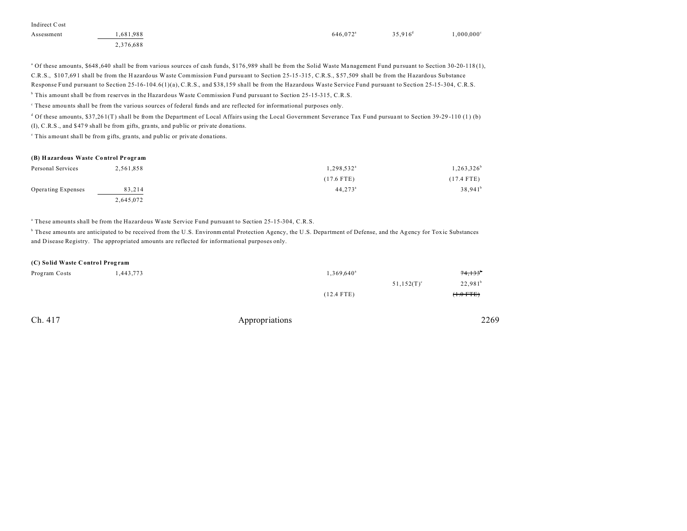| Indirect Cost |           |                      |                     |                     |
|---------------|-----------|----------------------|---------------------|---------------------|
| Assessment    | 1.681.988 | 646.072 <sup>a</sup> | $35.916^{\text{d}}$ | $1.000.000^{\circ}$ |
|               | 2,376,688 |                      |                     |                     |

<sup>a</sup> Of these amounts, \$648,640 shall be from various sources of cash funds, \$176,989 shall be from the Solid Waste Management Fund pursuant to Section 30-20-118 (1), C.R.S., \$10 7,69 1 shall be from the H azardous Waste Commission Fund pursu ant to Section 25-15 -315 , C.R.S., \$57 ,509 shall be from the Hazardous Su bstance Response Fund pursuant to Section 25-16-104.6(1)(a), C.R.S., and \$38,159 shall be from the Hazardous Waste Service Fund pursuant to Section 25-15-304, C.R.S.

b This amount shall be from reserves in the Hazardous Waste Commission Fund pursuant to Section 25-15-315, C.R.S.

These amounts shall be from the various sources of federal funds and are reflected for informational purposes only.

d Of these amounts, \$37,26 1(T) shall be from the Department of Local Affairs using the Local Government Severance Tax Fund pursua nt to Section 39-29 -110 (1 ) (b) (I), C.R.S., and \$47 9 shall be from gifts, gra nts, and public or private dona tions.

e This amount shall be from gifts, grants, and public or private dona tions.

#### **(B) Hazardous Waste Co ntrol Pr ogr am**

| Personal Services  | 2,561,858 | $1,298,532^{\circ}$ | $1,263,326^t$         |
|--------------------|-----------|---------------------|-----------------------|
|                    |           | $(17.6$ FTE)        | $(17.4$ FTE)          |
| Operating Expenses | 83,214    | $44,273^{\circ}$    | $38,941$ <sup>t</sup> |
|                    | 2,645,072 |                     |                       |

a These amounts shall be from the Hazardous Waste Service Fund pursuant to Section 25-15-304, C.R.S.

<sup>b</sup> These amounts are anticipated to be received from the U.S. Environmental Protection Agency, the U.S. Department of Defense, and the Agency for Toxic Substances and Disease Registry. The appropriated amounts are reflected for informational purposes only.

| (C) Solid Waste Control Program |           |                     |             |
|---------------------------------|-----------|---------------------|-------------|
| Program Costs                   | 1,443,773 | $1,369,640^{\circ}$ | 74,133      |
|                                 |           | $51,152(T)^c$       | $22,981^b$  |
|                                 |           | $(12.4$ FTE)        | $(+.0$ FTE) |
|                                 |           |                     |             |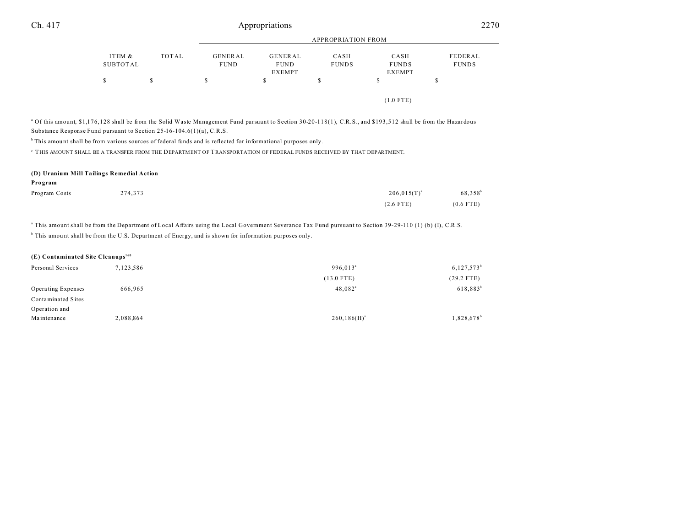| FEDERAL      |
|--------------|
| <b>FUNDS</b> |
|              |
|              |
|              |
|              |
|              |

<sup>a</sup> Of this amount, \$1,176,128 shall be from the Solid Waste Management Fund pursuant to Section 30-20-118(1), C.R.S., and \$193,512 shall be from the Hazardous Substance Response Fund pursuant to Section 25-16-104.6(1)(a), C.R.S.

 $<sup>b</sup>$  This amount shall be from various sources of federal funds and is reflected for informational purposes only.</sup>

 $^{\rm c}$  THIS AMOUNT SHALL BE A TRANSFER FROM THE DEPARTMENT OF TRANSPORTATION OF FEDERAL FUNDS RECEIVED BY THAT DEPARTMENT.

#### **(D) Uranium Mill Tailings Remedial Action**

| Program       |         |                  |                     |
|---------------|---------|------------------|---------------------|
| Program Costs | 274,373 | $206,015(T)^{a}$ | 68,358 <sup>t</sup> |
|               |         | $(2.6$ FTE)      | $(0.6$ FTE)         |

a This amount shall be from the Department of Local Affairs using the Local Government Severance Tax Fund pursuant to Section 39-29-110 (1) (b) (I), C.R.S.

<sup>b</sup> This amount shall be from the U.S. Department of Energy, and is shown for information purposes only.

| $(E)$ Contaminated Site Cleanups <sup>160</sup> |           |                      |                        |
|-------------------------------------------------|-----------|----------------------|------------------------|
| Personal Services                               | 7,123,586 | 996.013 <sup>a</sup> | $6,127,573^b$          |
|                                                 |           | $(13.0$ FTE)         | $(29.2$ FTE)           |
| Operating Expenses                              | 666.965   | $48,082^{\circ}$     | $618,883^{b}$          |
| Contaminated Sites                              |           |                      |                        |
| Operation and                                   |           |                      |                        |
| Maintenance                                     | 2,088,864 | $260, 186(H)^{a}$    | 1,828,678 <sup>b</sup> |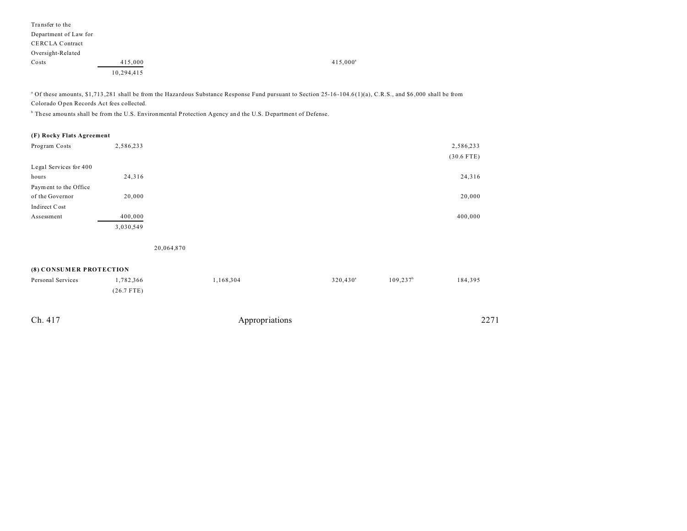| Transfer to the        |            |             |
|------------------------|------------|-------------|
| Department of Law for  |            |             |
| <b>CERCLA Contract</b> |            |             |
| Oversight-Related      |            |             |
| Costs                  | 415,000    | $415,000^a$ |
|                        | 10,294,415 |             |

<sup>a</sup> Of these amounts, \$1,713,281 shall be from the Hazardous Substance Response Fund pursuant to Section 25-16-104.6(1)(a), C.R.S., and \$6,000 shall be from Colorado Open Records Act fees collected.

<sup>b</sup> These amounts shall be from the U.S. Environmental Protection Agency and the U.S. Department of Defense.

## **(F) Rocky Flats Agreement**

| Program Costs          | 2,586,233 | 2,586,233    |
|------------------------|-----------|--------------|
|                        |           | $(30.6$ FTE) |
| Legal Services for 400 |           |              |
| hours                  | 24,316    | 24,316       |
| Payment to the Office  |           |              |
| of the Governor        | 20,000    | 20,000       |
| Indirect Cost          |           |              |
| Assessment             | 400,000   | 400,000      |
|                        | 3,030,549 |              |

20,064,870

## **(8) CONSUMER PROTECTION**

| Personal Services | 1,782,366    | 1,168,304      | $320,430^{\circ}$ | $109, 237$ <sup>b</sup> | 184,395 |
|-------------------|--------------|----------------|-------------------|-------------------------|---------|
|                   | $(26.7$ FTE) |                |                   |                         |         |
|                   |              |                |                   |                         |         |
| Ch. 417           |              | Appropriations |                   |                         | 2271    |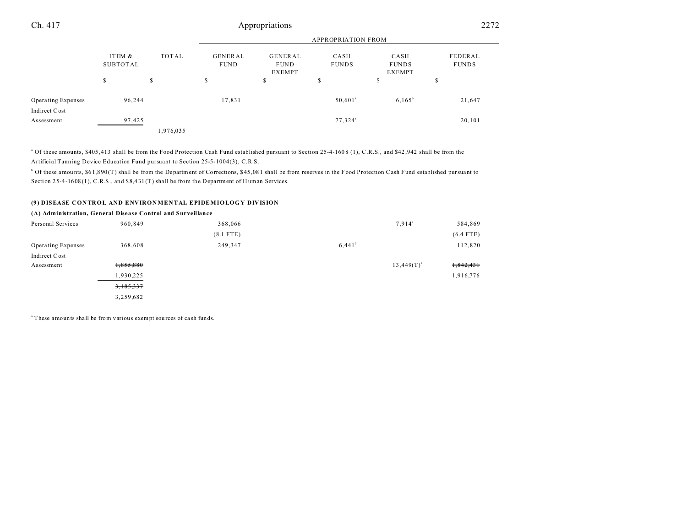# Ch. 417 Appropriations 2272

|                             |                             |           |                                                                          |    | <b>APPROPRIATION FROM</b>                                     |           |                         |
|-----------------------------|-----------------------------|-----------|--------------------------------------------------------------------------|----|---------------------------------------------------------------|-----------|-------------------------|
|                             | ITEM &<br>TOTAL<br>SUBTOTAL |           | <b>GENERAL</b><br><b>GENERAL</b><br><b>FUND</b><br><b>FUND</b><br>EXEMPT |    | CASH<br>CASH<br><b>FUNDS</b><br><b>FUNDS</b><br><b>EXEMPT</b> |           | FEDERAL<br><b>FUNDS</b> |
|                             | \$                          | S         | \$                                                                       | \$ | ch.<br>ъ                                                      | S         | D                       |
| Operating Expenses          | 96,244                      |           | 17,831                                                                   |    | $50,601^{\circ}$                                              | $6,165^b$ | 21,647                  |
| Indirect Cost<br>Assessment | 97,425                      |           |                                                                          |    | 77,324 <sup>a</sup>                                           |           | 20,101                  |
|                             |                             | 1,976,035 |                                                                          |    |                                                               |           |                         |

<sup>a</sup> Of these amounts, \$405,413 shall be from the Food Protection Cash Fund established pursuant to Section 25-4-1608 (1), C.R.S., and \$42,942 shall be from the Artificial Tanning Device Education Fund pursuant to Section 25-5-1004(3), C.R.S.

 $^{\circ}$  Of these amounts, \$61,890(T) shall be from the Department of Corrections, \$45,081 shall be from reserves in the Food Protection Cash Fund established pursuant to Section 25-4-1608(1), C.R.S., and \$8,431(T) shall be from the Department of Human Services.

### **(9) DISEASE CONTROL AND ENVIRONMENTAL EPIDEMIOLOGY DIVISION**

#### **(A) Administration, General Disease Control and Surveillance** Personal Services 960,849 368,066 368,066 7,914<sup>a</sup> 584,869 (8.1 FTE) (6.4 FTE) Operating Expenses 368,608 249,347 6,441<sup>b</sup> 112,820 Indirect Cost Assessment  $1,855,880$   $13,449(T)^{a}$ 1,842,431 1,930,225 1,916,776 3,185,337 3,259,682

<sup>a</sup>These amounts shall be from various exempt sources of cash funds.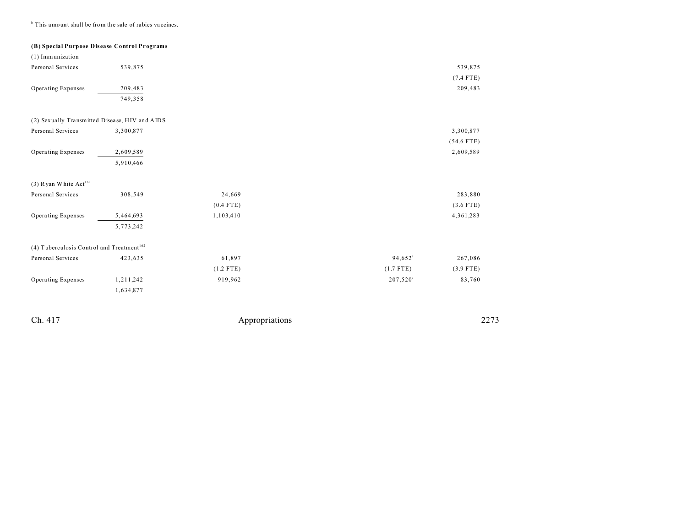<sup>b</sup> This amount shall be from the sale of rabies vaccines.

**(B) Special Purpose Disease Control Programs**

| (1) Immunization                                      |           |             |             |              |
|-------------------------------------------------------|-----------|-------------|-------------|--------------|
| Personal Services                                     | 539,875   |             |             | 539,875      |
|                                                       |           |             |             | $(7.4$ FTE)  |
| Operating Expenses                                    | 209,483   |             |             | 209,483      |
|                                                       | 749,358   |             |             |              |
| (2) Sexually Transmitted Disease, HIV and AIDS        |           |             |             |              |
| Personal Services                                     | 3,300,877 |             |             | 3,300,877    |
|                                                       |           |             |             | $(54.6$ FTE) |
| Operating Expenses                                    | 2,609,589 |             |             | 2,609,589    |
|                                                       | 5,910,466 |             |             |              |
| (3) Ryan White Act <sup>161</sup>                     |           |             |             |              |
| Personal Services                                     | 308,549   | 24,669      |             | 283,880      |
|                                                       |           | $(0.4$ FTE) |             | $(3.6$ FTE)  |
| Operating Expenses                                    | 5,464,693 | 1,103,410   |             | 4,361,283    |
|                                                       | 5,773,242 |             |             |              |
| (4) Tuberculosis Control and Treatment <sup>162</sup> |           |             |             |              |
| Personal Services                                     | 423,635   | 61,897      | $94,652^a$  | 267,086      |
|                                                       |           | $(1.2$ FTE) | $(1.7$ FTE) | $(3.9$ FTE)  |
| Operating Expenses                                    | 1,211,242 | 919,962     | $207,520^a$ | 83,760       |
|                                                       | 1,634,877 |             |             |              |
|                                                       |           |             |             |              |
|                                                       |           |             |             |              |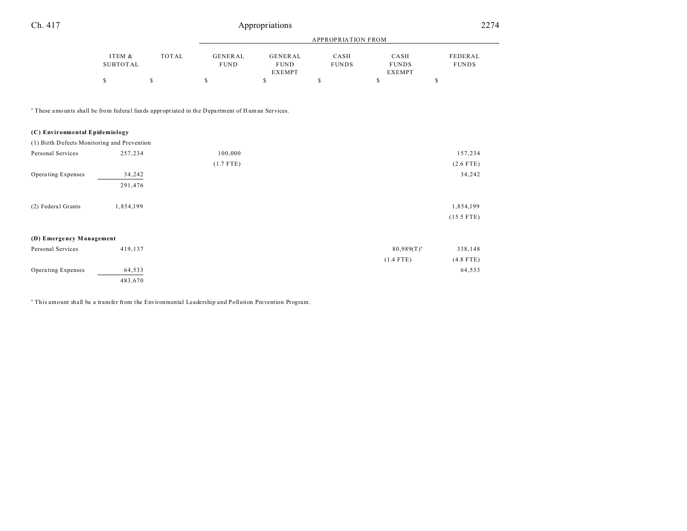| Ch. 417 |                    |       | Appropriations                |                                         |                      | 2274                                  |                         |
|---------|--------------------|-------|-------------------------------|-----------------------------------------|----------------------|---------------------------------------|-------------------------|
|         |                    |       |                               | <b>APPROPRIATION FROM</b>               |                      |                                       |                         |
|         | ITEM &<br>SUBTOTAL | TOTAL | <b>GENERAL</b><br><b>FUND</b> | GENERAL<br><b>FUND</b><br><b>EXEMPT</b> | CASH<br><b>FUNDS</b> | CASH<br><b>FUNDS</b><br><b>EXEMPT</b> | FEDERAL<br><b>FUNDS</b> |
|         |                    |       |                               | S                                       |                      |                                       | ъ                       |
|         |                    |       |                               |                                         |                      |                                       |                         |

<sup>a</sup> These amounts shall be from federal funds appropriated in the Department of Human Services.

# **(C) Environmental Epidemiology** (1) Birth Defects Monitoring and Prevention Personal Services 257,234 100,000 157,234 100,000 157,234 157,234 157,234 157,234 157,234 157,234 157,234 157,234 157,234 157,234 157,234 157,234 157,234 157,234 157,234 157,234 157,234 157,234 157,234 157,234 157,234 158, (1.7 FTE) (2.6 FTE) Operating Expenses 34,242 34,242 291,476 (2) Federal Grants 1,854,199 1,854,199 1,854,199 (15.5 FTE) **(D) Emerge ncy Management** Personal Services 419,137 80,989(T)<sup>a</sup> 80,989(T)<sup>a</sup> 338,148 (1.4 FTE) (4.8 FTE) Operating Expenses 64,533 64,533 64,533 483,670

a This amount shall be a transfer from the Environmental Leadership and Pollution Prevention Program.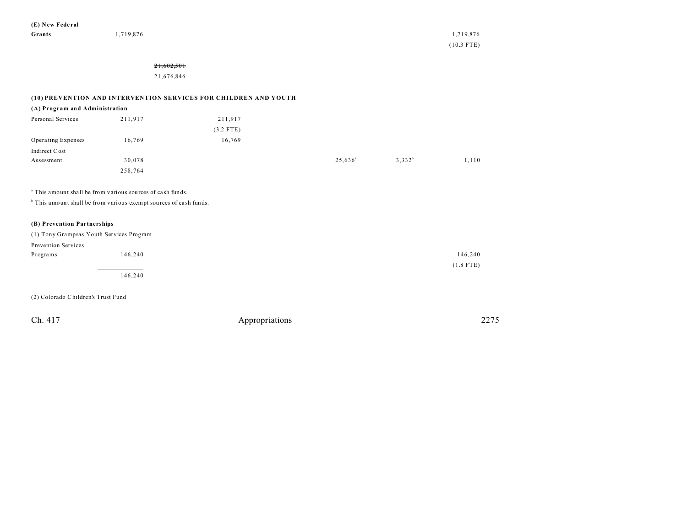**(E) New Fede ral Grants** 1,719,876 1,719,876 1,719,876

(10.3 FTE)

# 21,602,501

21,676,846

# **(10) PREVENTION AND INTERVENTION SERVICES FOR CHILDREN AND YOUTH**

## **(A) Program and Administration**

| Personal Services  | 211,917 | 211,917     |                  |           |       |
|--------------------|---------|-------------|------------------|-----------|-------|
|                    |         | $(3.2$ FTE) |                  |           |       |
| Operating Expenses | 16,769  | 16,769      |                  |           |       |
| Indirect Cost      |         |             |                  |           |       |
| Assessment         | 30,078  |             | $25,636^{\circ}$ | $3,332^b$ | 1,110 |
|                    | 258,764 |             |                  |           |       |

a This amount shall be from various sources of ca sh funds.

<sup>b</sup> This amount shall be from various exempt sources of cash funds.

### **(B) Prevention Partnerships**

|                     | (1) Tony Grampsas Youth Services Program |             |
|---------------------|------------------------------------------|-------------|
| Prevention Services |                                          |             |
| Programs            | 146,240                                  | 146,240     |
|                     |                                          | $(1.8$ FTE) |
|                     | 146,240                                  |             |

(2) Colorado Children's Trust Fund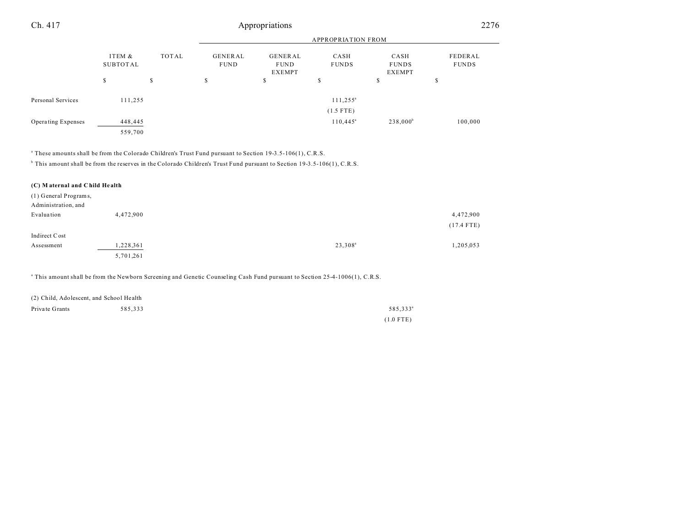| Ch. 417            |                    |       |                               | Appropriations                                 |                           |                                       | 2276                    |  |
|--------------------|--------------------|-------|-------------------------------|------------------------------------------------|---------------------------|---------------------------------------|-------------------------|--|
|                    |                    |       |                               |                                                | <b>APPROPRIATION FROM</b> |                                       |                         |  |
|                    | ITEM &<br>SUBTOTAL | TOTAL | <b>GENERAL</b><br><b>FUND</b> | <b>GENERAL</b><br><b>FUND</b><br><b>EXEMPT</b> | CASH<br><b>FUNDS</b>      | CASH<br><b>FUNDS</b><br><b>EXEMPT</b> | FEDERAL<br><b>FUNDS</b> |  |
|                    | \$                 | S     | \$                            | S                                              | m<br>ъ                    | \$                                    | c<br>P                  |  |
| Personal Services  | 111,255            |       |                               |                                                | $111, 255^{\circ}$        |                                       |                         |  |
|                    |                    |       |                               |                                                | $(1.5$ FTE)               |                                       |                         |  |
| Operating Expenses | 448,445            |       |                               |                                                | $110,445^{\circ}$         | $238,000^b$                           | 100,000                 |  |
|                    | 559,700            |       |                               |                                                |                           |                                       |                         |  |

a These amounts shall be from the Colorado Children's Trust Fund pursuant to Section 19-3.5-106(1), C.R.S.

b This amount shall be from the reserves in the Colorado Children's Trust Fund pursuant to Section 19-3.5-106(1), C.R.S.

| (C) Maternal and Child Health |           |                     |              |
|-------------------------------|-----------|---------------------|--------------|
| (1) General Programs,         |           |                     |              |
| Administration, and           |           |                     |              |
| Evaluation                    | 4,472,900 |                     | 4,472,900    |
|                               |           |                     | $(17.4$ FTE) |
| Indirect Cost                 |           |                     |              |
| Assessment                    | 1,228,361 | 23,308 <sup>a</sup> | 1,205,053    |
|                               | 5,701,261 |                     |              |

a This amount shall be from the Newborn Screening and Genetic Counseling Cash Fund pursuant to Section 25-4-1006(1), C.R.S.

| (2) Child, Adolescent, and School Health |         |                      |
|------------------------------------------|---------|----------------------|
| Private Grants                           | 585.333 | 585.333 <sup>a</sup> |
|                                          |         | $(1.0$ FTE)          |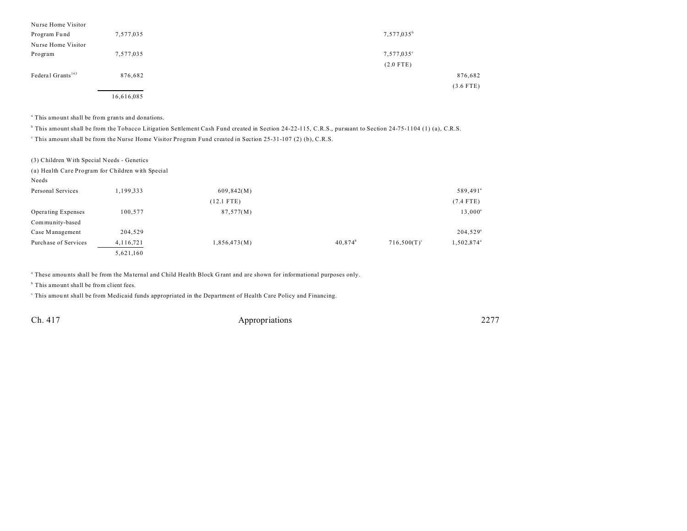| Nurse Home Visitor            |            |                     |
|-------------------------------|------------|---------------------|
| Program Fund                  | 7,577,035  | $7,577,035^{\rm b}$ |
| Nurse Home Visitor            |            |                     |
| Program                       | 7,577,035  | $7,577,035^{\circ}$ |
|                               |            | $(2.0$ FTE)         |
| Federal Grants <sup>163</sup> | 876,682    | 876,682             |
|                               |            | $(3.6$ FTE)         |
|                               | 16,616,085 |                     |

<sup>a</sup> This amount shall be from grants and donations.

<sup>b</sup> This amount shall be from the Tobacco Litigation Settlement Cash Fund created in Section 24-22-115, C.R.S., pursuant to Section 24-75-1104 (1) (a), C.R.S.

This amount shall be from the Nurse Home Visitor Program Fund created in Section 25-31-107 (2) (b), C.R.S.

(3) Children With Special Needs - Genetics

|                      | (a) Health Care Program for Children with Special |              |                  |                |                        |
|----------------------|---------------------------------------------------|--------------|------------------|----------------|------------------------|
| Needs                |                                                   |              |                  |                |                        |
| Personal Services    | 1,199,333                                         | 609,842(M)   |                  |                | 589,491 <sup>ª</sup>   |
|                      |                                                   | $(12.1$ FTE) |                  |                | $(7.4$ FTE)            |
| Operating Expenses   | 100,577                                           | 87,577(M)    |                  |                | $13,000^a$             |
| Community-based      |                                                   |              |                  |                |                        |
| Case Management      | 204,529                                           |              |                  |                | $204,529^a$            |
| Purchase of Services | 4, 116, 721                                       | 1,856,473(M) | $40,874^{\rm b}$ | $716,500(T)^c$ | 1,502,874 <sup>a</sup> |
|                      | 5,621,160                                         |              |                  |                |                        |

a These amou nts shall be from the Ma ternal and Child Health Block G rant and are shown for informational purposes only.

<sup>b</sup> This amount shall be from client fees.

This amount shall be from Medicaid funds appropriated in the Department of Health Care Policy and Financing.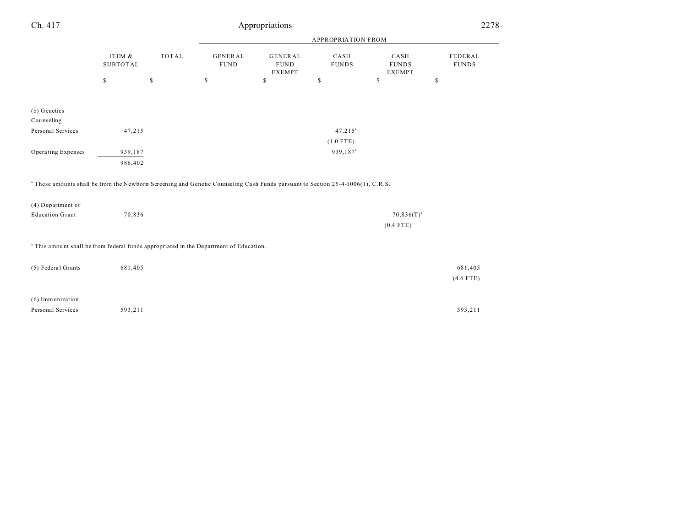| Ch. 417                                                                                                                                   |                           | 2278         |                               |                                                |                      |                                       |                         |
|-------------------------------------------------------------------------------------------------------------------------------------------|---------------------------|--------------|-------------------------------|------------------------------------------------|----------------------|---------------------------------------|-------------------------|
|                                                                                                                                           |                           |              |                               |                                                |                      |                                       |                         |
|                                                                                                                                           | ITEM &<br><b>SUBTOTAL</b> | TOTAL        | <b>GENERAL</b><br><b>FUND</b> | <b>GENERAL</b><br><b>FUND</b><br><b>EXEMPT</b> | CASH<br><b>FUNDS</b> | CASH<br><b>FUNDS</b><br><b>EXEMPT</b> | FEDERAL<br><b>FUNDS</b> |
|                                                                                                                                           | $\mathbb{S}$              | $\mathbb{S}$ | \$                            | $\mathbb{S}$                                   | \$                   | \$                                    | \$                      |
| (b) Genetics<br>Counseling                                                                                                                |                           |              |                               |                                                |                      |                                       |                         |
| Personal Services                                                                                                                         | 47,215                    |              |                               |                                                | $47,215^a$           |                                       |                         |
|                                                                                                                                           |                           |              |                               |                                                | $(1.0$ FTE)          |                                       |                         |
| Operating Expenses                                                                                                                        | 939,187                   |              |                               |                                                | 939,187 <sup>a</sup> |                                       |                         |
|                                                                                                                                           | 986,402                   |              |                               |                                                |                      |                                       |                         |
| <sup>a</sup> These amounts shall be from the Newborn Screening and Genetic Counseling Cash Funds pursuant to Section 25-4-1006(1), C.R.S. |                           |              |                               |                                                |                      |                                       |                         |
| (4) Department of                                                                                                                         |                           |              |                               |                                                |                      |                                       |                         |
| <b>Education Grant</b>                                                                                                                    | 70,836                    |              |                               |                                                |                      | $70,836(T)^{a}$<br>$(0.4$ FTE)        |                         |
| <sup>a</sup> This amount shall be from federal funds appropriated in the Department of Education.                                         |                           |              |                               |                                                |                      |                                       |                         |
| (5) Federal Grants                                                                                                                        | 681,405                   |              |                               |                                                |                      |                                       | 681,405                 |
|                                                                                                                                           |                           |              |                               |                                                |                      |                                       | $(4.6$ FTE)             |
| (6) Immunization                                                                                                                          |                           |              |                               |                                                |                      |                                       |                         |
| Personal Services                                                                                                                         | 593,211                   |              |                               |                                                |                      |                                       | 593,211                 |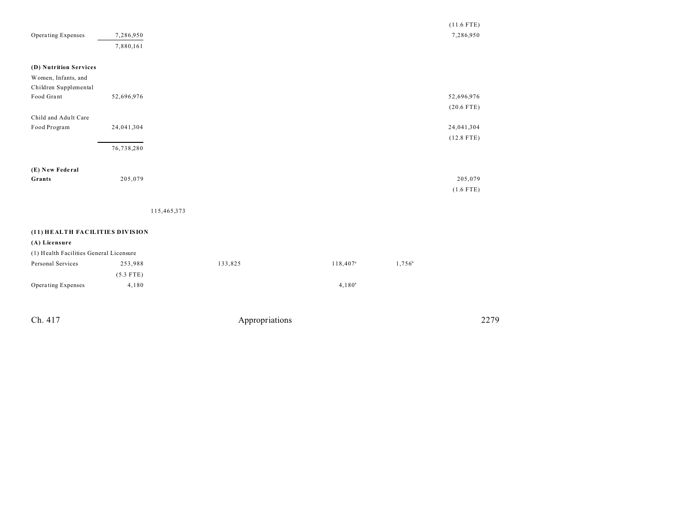|                                         |             |             |         |                   |           | $(11.6$ FTE) |
|-----------------------------------------|-------------|-------------|---------|-------------------|-----------|--------------|
| Operating Expenses                      | 7,286,950   |             |         |                   |           | 7,286,950    |
|                                         | 7,880,161   |             |         |                   |           |              |
|                                         |             |             |         |                   |           |              |
| (D) Nutrition Services                  |             |             |         |                   |           |              |
| Women, Infants, and                     |             |             |         |                   |           |              |
| Children Supplemental                   |             |             |         |                   |           |              |
| Food Grant                              | 52,696,976  |             |         |                   |           | 52,696,976   |
|                                         |             |             |         |                   |           | $(20.6$ FTE) |
| Child and Adult Care                    |             |             |         |                   |           |              |
| Food Program                            | 24,041,304  |             |         |                   |           | 24,041,304   |
|                                         |             |             |         |                   |           | $(12.8$ FTE) |
|                                         | 76,738,280  |             |         |                   |           |              |
|                                         |             |             |         |                   |           |              |
| (E) New Federal                         |             |             |         |                   |           |              |
| Grants                                  | 205,079     |             |         |                   |           | 205,079      |
|                                         |             |             |         |                   |           | $(1.6$ FTE)  |
|                                         |             |             |         |                   |           |              |
|                                         |             | 115,465,373 |         |                   |           |              |
|                                         |             |             |         |                   |           |              |
| (11) HEALTH FACILITIES DIVISION         |             |             |         |                   |           |              |
| (A) Licensure                           |             |             |         |                   |           |              |
| (1) Health Facilities General Licensure |             |             |         |                   |           |              |
| Personal Services                       | 253,988     |             | 133,825 | $118,407^{\rm a}$ | $1,756^b$ |              |
|                                         | $(5.3$ FTE) |             |         |                   |           |              |
| Operating Expenses                      | 4,180       |             |         | $4,180^a$         |           |              |
|                                         |             |             |         |                   |           |              |
|                                         |             |             |         |                   |           |              |
|                                         |             |             |         |                   |           |              |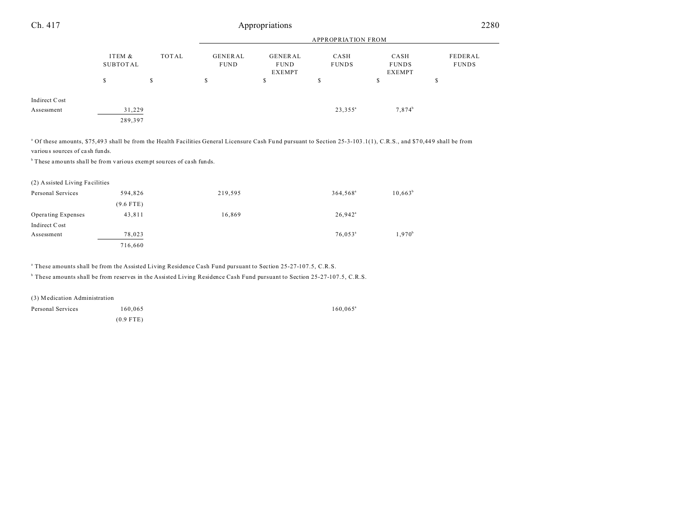| Ch. 417                     |                           | Appropriations |                        |                                         |                      |                                       |                         | 2280 |  |
|-----------------------------|---------------------------|----------------|------------------------|-----------------------------------------|----------------------|---------------------------------------|-------------------------|------|--|
|                             | <b>APPROPRIATION FROM</b> |                |                        |                                         |                      |                                       |                         |      |  |
|                             | ITEM &<br><b>SUBTOTAL</b> | TOTAL          | GENERAL<br><b>FUND</b> | GENERAL<br><b>FUND</b><br><b>EXEMPT</b> | CASH<br><b>FUNDS</b> | CASH<br><b>FUNDS</b><br><b>EXEMPT</b> | FEDERAL<br><b>FUNDS</b> |      |  |
|                             | e<br>P                    | S              | \$                     | \$                                      | \$                   | ጣ<br>ъ                                | \$                      |      |  |
| Indirect Cost<br>Assessment | 31,229<br>289,397         |                |                        |                                         | $23,355^a$           | $7,874^b$                             |                         |      |  |
|                             |                           |                |                        |                                         |                      |                                       |                         |      |  |

<sup>a</sup> Of these amounts, \$75,493 shall be from the Health Facilities General Licensure Cash Fund pursuant to Section 25-3-103.1(1), C.R.S., and \$70,449 shall be from variou s sources of ca sh funds.

 $<sup>b</sup>$  These amounts shall be from various exempt sources of cash funds.</sup>

(2) Assisted Living Fa cilities

| Personal Services  | 594,826     | 219,595 | 364,568 <sup>a</sup>  | $10,663^b$ |
|--------------------|-------------|---------|-----------------------|------------|
|                    | $(9.6$ FTE) |         |                       |            |
| Operating Expenses | 43,811      | 16,869  | $26,942$ <sup>a</sup> |            |
| Indirect Cost      |             |         |                       |            |
| Assessment         | 78,023      |         | $76.053$ <sup>a</sup> | $1,970^b$  |
|                    | 716,660     |         |                       |            |

a These amounts shall be from the Assisted Living Residence Cash Fund pursuant to Section 25-27-107.5, C.R.S.

b These amounts shall be from reserves in the Assisted Living Residence Cash Fund pursuant to Section 25-27-107.5, C.R.S.

(3) Medication Administration

Personal Services  $160,065$   $160,065$ (0.9 FTE)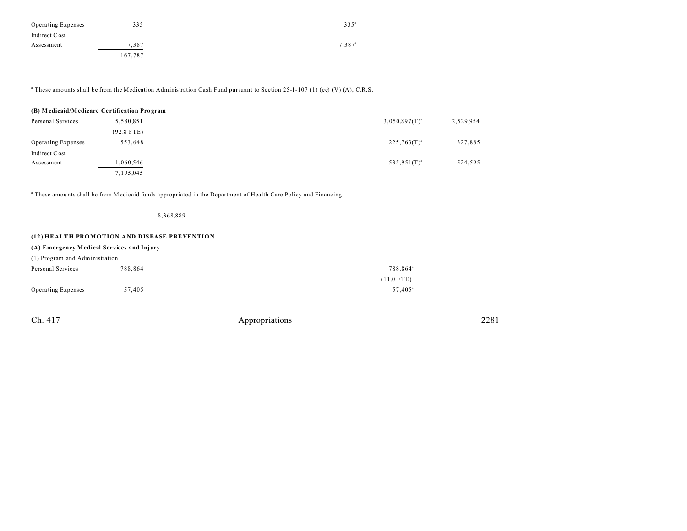| <b>Operating Expenses</b> | 335     | $335^{\circ}$   |
|---------------------------|---------|-----------------|
| Indirect Cost             |         |                 |
| Assessment                | 7.387   | $7.387^{\circ}$ |
|                           | 167,787 |                 |

a These amounts shall be from the Medication Administration Cash Fund pursuant to Section 25-1-107 (1) (ee) (V) (A), C.R.S.

#### **(B) M edicaid/M edicare Ce rtification Pro gram**

| Personal Services         | 5,580,851    | $3,050,897(T)^{a}$ | 2,529,954 |
|---------------------------|--------------|--------------------|-----------|
|                           | $(92.8$ FTE) |                    |           |
| <b>Operating Expenses</b> | 553.648      | $225,763(T)^{a}$   | 327,885   |
| Indirect Cost             |              |                    |           |
| Assessment                | ,060,546     | $535,951(T)^{a}$   | 524,595   |
|                           | 7,195,045    |                    |           |

a These amou nts shall be from Medicaid funds appropriated in the Department of Health Care Policy and Financing.

8,368,889

# **(12) HEALTH PROMOTION AND DISEASE PREVENTION**

#### **(A) Emergency M edical Services and Injury**

| (1) Program and Administration |         |                      |  |  |  |  |
|--------------------------------|---------|----------------------|--|--|--|--|
| Personal Services              | 788.864 | 788.864 <sup>ª</sup> |  |  |  |  |
|                                |         | $(11.0$ FTE)         |  |  |  |  |
| <b>Operating Expenses</b>      | 57.405  | $57.405^{\circ}$     |  |  |  |  |

| Appropriations | 2281 |
|----------------|------|
|                |      |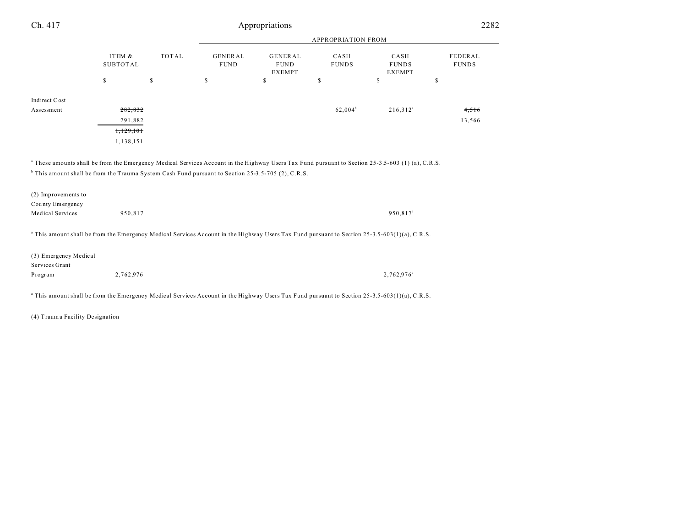| Ch. 417                                                                                                                                                  |                           | Appropriations |                               |                                                |                      |                                       |                         |  |  |
|----------------------------------------------------------------------------------------------------------------------------------------------------------|---------------------------|----------------|-------------------------------|------------------------------------------------|----------------------|---------------------------------------|-------------------------|--|--|
|                                                                                                                                                          |                           |                |                               | <b>APPROPRIATION FROM</b>                      |                      |                                       |                         |  |  |
|                                                                                                                                                          | ITEM &<br><b>SUBTOTAL</b> | TOTAL          | <b>GENERAL</b><br><b>FUND</b> | <b>GENERAL</b><br><b>FUND</b><br><b>EXEMPT</b> | CASH<br><b>FUNDS</b> | CASH<br><b>FUNDS</b><br><b>EXEMPT</b> | FEDERAL<br><b>FUNDS</b> |  |  |
|                                                                                                                                                          | \$                        | $\mathbb{S}$   | $\mathbb{S}$                  | $\mathbb{S}$                                   | \$                   | $\mathsf S$                           | \$                      |  |  |
| Indirect Cost                                                                                                                                            |                           |                |                               |                                                |                      |                                       |                         |  |  |
| Assessment                                                                                                                                               | 282,832                   |                |                               |                                                | $62,004^b$           | $216,312^a$                           | 4,516                   |  |  |
|                                                                                                                                                          | 291,882                   |                |                               |                                                |                      |                                       | 13,566                  |  |  |
|                                                                                                                                                          | 1,129,101                 |                |                               |                                                |                      |                                       |                         |  |  |
|                                                                                                                                                          | 1,138,151                 |                |                               |                                                |                      |                                       |                         |  |  |
| <sup>b</sup> This amount shall be from the Trauma System Cash Fund pursuant to Section 25-3.5-705 (2), C.R.S.<br>(2) Improvements to<br>County Emergency |                           |                |                               |                                                |                      |                                       |                         |  |  |
| <b>Medical Services</b>                                                                                                                                  | 950,817                   |                |                               |                                                |                      | 950,817 <sup>a</sup>                  |                         |  |  |
| <sup>a</sup> This amount shall be from the Emergency Medical Services Account in the Highway Users Tax Fund pursuant to Section 25-3.5-603(1)(a), C.R.S. |                           |                |                               |                                                |                      |                                       |                         |  |  |
| (3) Emergency Medical<br>Services Grant                                                                                                                  |                           |                |                               |                                                |                      |                                       |                         |  |  |
| Program                                                                                                                                                  | 2,762,976                 |                |                               |                                                |                      | 2,762,976 <sup>a</sup>                |                         |  |  |
|                                                                                                                                                          |                           |                |                               |                                                |                      |                                       |                         |  |  |
| <sup>a</sup> This amount shall be from the Emergency Medical Services Account in the Highway Users Tax Fund pursuant to Section 25-3.5-603(1)(a), C.R.S. |                           |                |                               |                                                |                      |                                       |                         |  |  |

(4) Trauma Facility Designation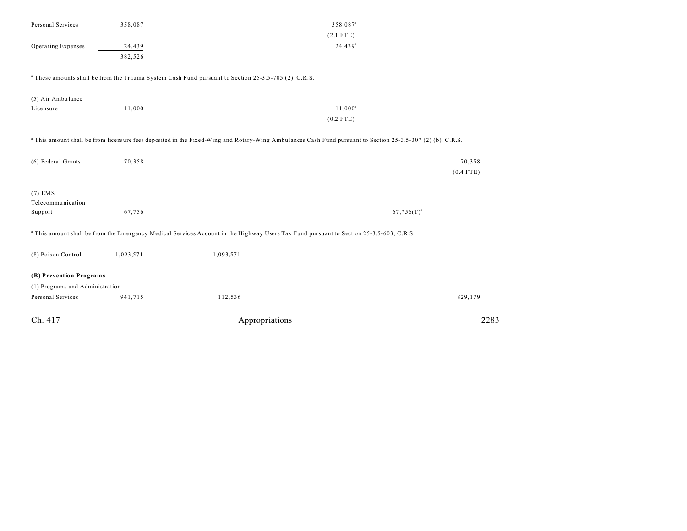| Personal Services               | 358,087   |                                                                                                                                                                       | 358,087 <sup>a</sup> |
|---------------------------------|-----------|-----------------------------------------------------------------------------------------------------------------------------------------------------------------------|----------------------|
|                                 |           |                                                                                                                                                                       | $(2.1$ FTE)          |
| Operating Expenses              | 24,439    |                                                                                                                                                                       | $24,439^a$           |
|                                 | 382,526   |                                                                                                                                                                       |                      |
|                                 |           | <sup>a</sup> These amounts shall be from the Trauma System Cash Fund pursuant to Section 25-3.5-705 (2), C.R.S.                                                       |                      |
| (5) Air Ambulance               |           |                                                                                                                                                                       |                      |
| Licensure                       | 11,000    |                                                                                                                                                                       | $11,000^a$           |
|                                 |           |                                                                                                                                                                       | $(0.2$ FTE)          |
|                                 |           | <sup>a</sup> This amount shall be from licensure fees deposited in the Fixed-Wing and Rotary-Wing Ambulances Cash Fund pursuant to Section 25-3.5-307 (2) (b), C.R.S. |                      |
| (6) Federal Grants              | 70,358    |                                                                                                                                                                       | 70,358               |
|                                 |           |                                                                                                                                                                       | $(0.4$ FTE)          |
| $(7)$ EMS                       |           |                                                                                                                                                                       |                      |
| Telecommunication               |           |                                                                                                                                                                       |                      |
| Support                         | 67,756    |                                                                                                                                                                       | $67,756(T)^{a}$      |
|                                 |           | <sup>a</sup> This amount shall be from the Emergency Medical Services Account in the Highway Users Tax Fund pursuant to Section 25-3.5-603, C.R.S.                    |                      |
| (8) Poison Control              | 1,093,571 | 1,093,571                                                                                                                                                             |                      |
| (B) Prevention Programs         |           |                                                                                                                                                                       |                      |
| (1) Programs and Administration |           |                                                                                                                                                                       |                      |
| Personal Services               | 941,715   | 112,536                                                                                                                                                               | 829,179              |
| Ch. 417                         |           | Appropriations                                                                                                                                                        | 2283                 |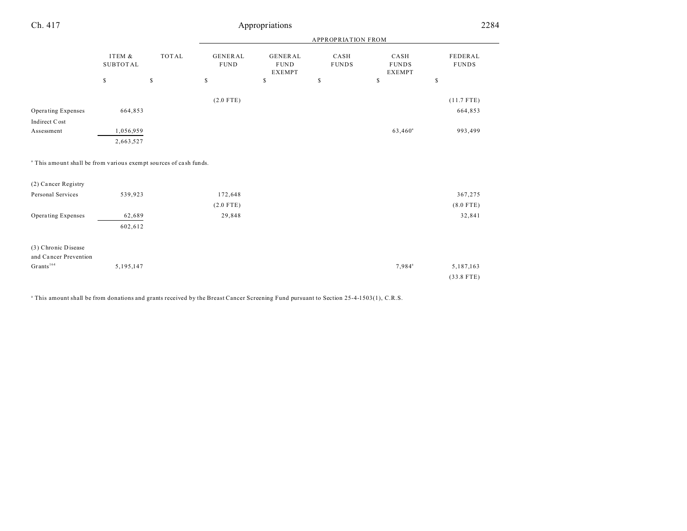| Ch. 417                                                                      | Appropriations               |              |                               |                                                |                           |                                       | 2284                    |  |
|------------------------------------------------------------------------------|------------------------------|--------------|-------------------------------|------------------------------------------------|---------------------------|---------------------------------------|-------------------------|--|
|                                                                              |                              |              |                               |                                                | <b>APPROPRIATION FROM</b> |                                       |                         |  |
|                                                                              | ITEM $\&$<br><b>SUBTOTAL</b> | <b>TOTAL</b> | <b>GENERAL</b><br><b>FUND</b> | <b>GENERAL</b><br><b>FUND</b><br><b>EXEMPT</b> | CASH<br><b>FUNDS</b>      | CASH<br><b>FUNDS</b><br><b>EXEMPT</b> | FEDERAL<br><b>FUNDS</b> |  |
|                                                                              | $\mathbb{S}$                 | $\mathbb{S}$ | \$                            | $\mathbb{S}$                                   | $\mathbb{S}$              | $\mathbb{S}$                          | \$                      |  |
|                                                                              |                              |              | $(2.0$ FTE)                   |                                                |                           |                                       | $(11.7$ FTE)            |  |
| Operating Expenses<br>Indirect Cost                                          | 664,853                      |              |                               |                                                |                           |                                       | 664,853                 |  |
| Assessment                                                                   | 1,056,959                    |              |                               |                                                |                           | 63,460 <sup>a</sup>                   | 993,499                 |  |
|                                                                              | 2,663,527                    |              |                               |                                                |                           |                                       |                         |  |
| <sup>a</sup> This amount shall be from various exempt sources of cash funds. |                              |              |                               |                                                |                           |                                       |                         |  |
| (2) Cancer Registry                                                          |                              |              |                               |                                                |                           |                                       |                         |  |
| Personal Services                                                            | 539,923                      |              | 172,648                       |                                                |                           |                                       | 367,275                 |  |
|                                                                              |                              |              | $(2.0$ FTE)                   |                                                |                           |                                       | $(8.0$ FTE)             |  |
| Operating Expenses                                                           | 62,689                       |              | 29,848                        |                                                |                           |                                       | 32,841                  |  |
|                                                                              | 602,612                      |              |                               |                                                |                           |                                       |                         |  |
| (3) Chronic Disease                                                          |                              |              |                               |                                                |                           |                                       |                         |  |
| and Cancer Prevention                                                        |                              |              |                               |                                                |                           |                                       |                         |  |
| $\mathbf{Grants}^{164}$                                                      | 5,195,147                    |              |                               |                                                |                           | 7,984 <sup>a</sup>                    | 5,187,163               |  |
|                                                                              |                              |              |                               |                                                |                           |                                       | $(33.8$ FTE)            |  |

<sup>a</sup> This amount shall be from donations and grants received by the Breast Cancer Screening Fund pursuant to Section 25-4-1503(1), C.R.S.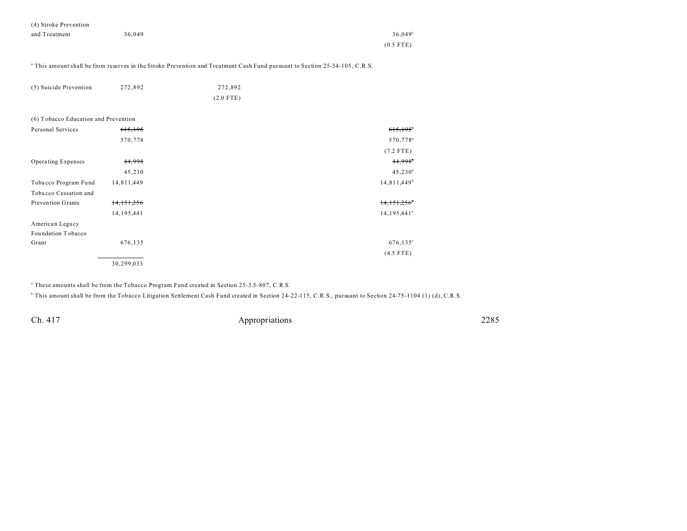| (4) Stroke Prevention |        |                       |
|-----------------------|--------|-----------------------|
| and Treatment         | 36,049 | $36.049$ <sup>a</sup> |
|                       |        | $(0.5$ FTE)           |

a This amount shall be from reserves in the Stroke Prevention and Treatment Cash Fund pursuant to Section 25-34-105, C.R.S.

| (5) Suicide Prevention               | 272,892      | 272,892     |                         |
|--------------------------------------|--------------|-------------|-------------------------|
|                                      |              | $(2.0$ FTE) |                         |
| (6) Tobacco Education and Prevention |              |             |                         |
| Personal Services                    | 615,195      |             | 615,195                 |
|                                      | 570,778      |             | 570,778 <sup>a</sup>    |
|                                      |              |             | $(7.2$ FTE)             |
| Operating Expenses                   | 44,998       |             | 44,998                  |
|                                      | 45,230       |             | $45,230^{\circ}$        |
| Tobacco Program Fund                 | 14,811,449   |             | 14,811,449 <sup>b</sup> |
| Tobacco Cessation and                |              |             |                         |
| Prevention Grants                    | 14,151,256   |             | 14,151,256              |
|                                      | 14, 195, 441 |             | 14,195,441 <sup>ª</sup> |
| American Legacy                      |              |             |                         |
| Foundation Tobacco                   |              |             |                         |
| Grant                                | 676,135      |             | $676, 135^{\circ}$      |
|                                      |              |             | $(4.5$ FTE)             |
|                                      | 30,299,033   |             |                         |

a These amounts shall be from the Tobacco Program Fund created in Section 25-3.5-807, C.R.S.

<sup>b</sup> This amount shall be from the Tobacco Litigation Settlement Cash Fund created in Section 24-22-115, C.R.S., pursuant to Section 24-75-1104 (1) (d), C.R.S.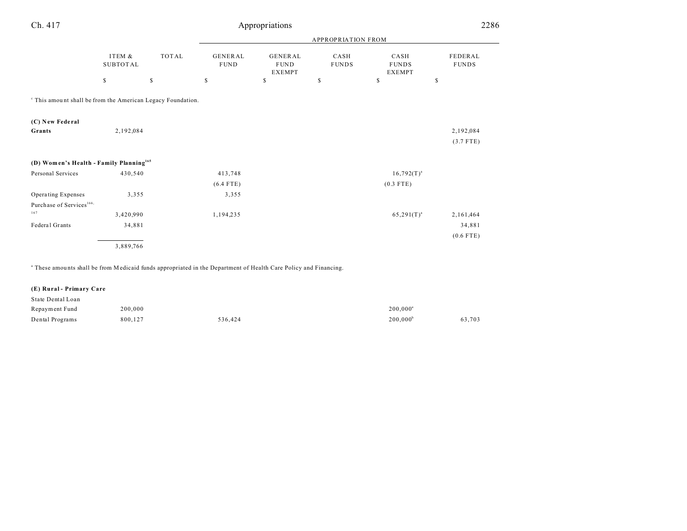| Ch. 417                                                                |                           |             | Appropriations                |                                          |                      |                                       |                         |  |
|------------------------------------------------------------------------|---------------------------|-------------|-------------------------------|------------------------------------------|----------------------|---------------------------------------|-------------------------|--|
|                                                                        |                           |             | <b>APPROPRIATION FROM</b>     |                                          |                      |                                       |                         |  |
|                                                                        | ITEM &<br><b>SUBTOTAL</b> | TOTAL       | <b>GENERAL</b><br><b>FUND</b> | GENERAL<br>${\rm FUND}$<br><b>EXEMPT</b> | CASH<br><b>FUNDS</b> | CASH<br><b>FUNDS</b><br><b>EXEMPT</b> | FEDERAL<br><b>FUNDS</b> |  |
|                                                                        | \$                        | $\mathbb S$ | \$                            | $\mathsf S$                              | \$                   | \$                                    | \$                      |  |
| <sup>c</sup> This amount shall be from the American Legacy Foundation. |                           |             |                               |                                          |                      |                                       |                         |  |
| (C) New Federal<br>Grants                                              | 2,192,084                 |             |                               |                                          |                      |                                       | 2,192,084               |  |
|                                                                        |                           |             |                               |                                          |                      |                                       | $(3.7$ FTE)             |  |
| (D) Women's Health - Family Planning <sup>165</sup>                    |                           |             |                               |                                          |                      |                                       |                         |  |
| Personal Services                                                      | 430,540                   |             | 413,748<br>$(6.4$ FTE)        |                                          |                      | $16,792(T)^{a}$<br>$(0.3$ FTE)        |                         |  |
| Operating Expenses<br>Purchase of Services <sup>166,</sup>             | 3,355                     |             | 3,355                         |                                          |                      |                                       |                         |  |
| 167                                                                    | 3,420,990                 |             | 1,194,235                     |                                          |                      | $65,291(T)^{a}$                       | 2,161,464               |  |
| Federal Grants                                                         | 34,881                    |             |                               |                                          |                      |                                       | 34,881                  |  |
|                                                                        | 3,889,766                 |             |                               |                                          |                      |                                       | $(0.6$ FTE)             |  |

a These amou nts shall be from Medicaid funds appropriated in the Department of Health Care Policy and Financing.

# **(E) Rural - Primary Care**

| State Dental Loan |         |         |                        |        |
|-------------------|---------|---------|------------------------|--------|
| Repayment Fund    | 200,000 |         | $200.000$ <sup>a</sup> |        |
| Dental Programs   | 800,127 | 536.424 | $200.000^{\circ}$      | 63,703 |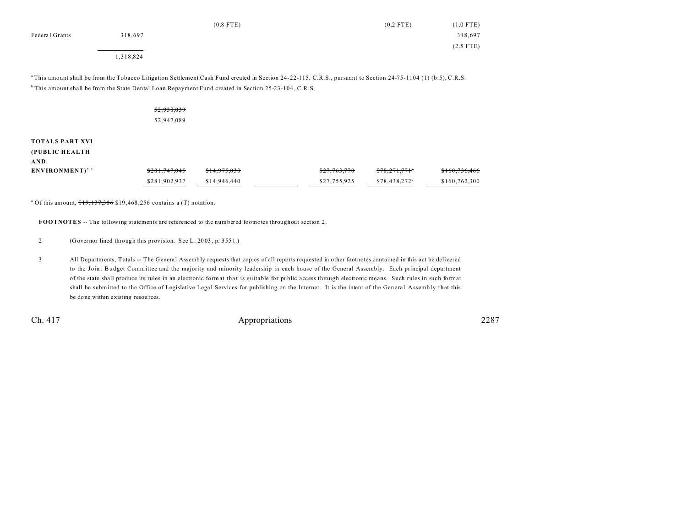|                |           | $(0.8$ FTE) | $(0.2$ FTE) | $(1.0$ FTE) |
|----------------|-----------|-------------|-------------|-------------|
| Federal Grants | 318,697   |             |             | 318,697     |
|                |           |             |             | $(2.5$ FTE) |
|                | 1,318,824 |             |             |             |

<sup>a</sup>This amount shall be from the Tobacco Litigation Settlement Cash Fund created in Section 24-22-115, C.R.S., pursuant to Section 24-75-1104 (1) (b.5), C.R.S. <sup>b</sup> This amount shall be from the State Dental Loan Repayment Fund created in Section 25-23-104, C.R.S.

|                                                 | 52,938,039<br>52,947,089 |              |              |                           |               |
|-------------------------------------------------|--------------------------|--------------|--------------|---------------------------|---------------|
| <b>TOTALS PART XVI</b><br>(PUBLIC HEALTH<br>AND |                          |              |              |                           |               |
| $ENVIROMENT)^{2.3}$                             | \$281,747,045            | \$14,975,038 | \$27,763,770 | \$78,271,771"             | \$160,736,466 |
|                                                 | \$281,902,937            | \$14,946,440 | \$27,755,925 | \$78,438,272 <sup>a</sup> | \$160,762,300 |

<sup>a</sup> Of this amount,  $19,137,306$  \$19,468,256 contains a (T) notation.

**FOOTNOTES** -- The following statements are referenced to the numbered footnotes throughout section 2.

2 (Governor lined through this provision. See L. 20 03 , p. 355 1.)

3 All Departments, Totals -- The General Assembly requests that copies of all reports requested in other footnotes contained in this act be delivered to the Joint Budget Committee and the majority and minority leadership in each house of the General Assembly. Each principal department of the state shall produce its rules in an electronic format tha t is suitable for public access through electronic means. Such rules in such format shall be submitted to the Office of Legislative Legal Services for publishing on the Internet. It is the intent of the General Assembly that this be done within existing resources.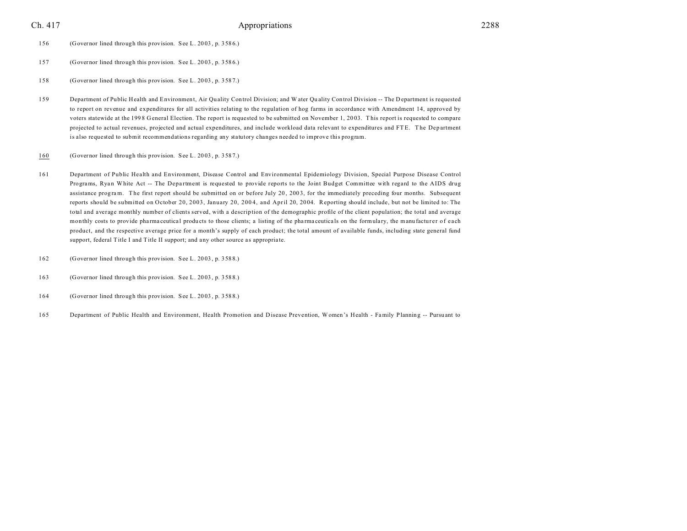- 156 (Governor lined through this provision. See L. 20 03 , p. 358 6.)
- 157 (Governor lined through this provision. See L. 20 03 , p. 358 6.)
- 158 (Governor lined through this provision. See L. 20 03 , p. 358 7.)
- 159 Department of Public Health and Environment, Air Quality Control Division; and W ater Quality Control Division -- The Department is requested to report on revenue and expenditures for all activities relating to the regulation of hog farms in accordance with Amendment 14, approved by voters statewide at the 199 8 General Election. The report is requested to be submitted on November 1, 20 03. T his report is requested to compare projected to actual revenues, projected and actual expenditures, and include workload data relevant to expenditures and FTE. The Department is also requested to submit recommendations regarding any statutory changes needed to improve this program.
- 160 (Governor lined through this provision. See L. 20 03 , p. 358 7.)
- 161 Department of Public Health and Environment, Disease Control and Environmental Epidemiology Division, Special Purpose Disease Control Programs, Ryan White Act -- The Department is requested to provide reports to the Joint Budget Committee with regard to the AIDS drug assistance program. The first report should be submitted on or before July 20, 2003, for the immediately preceding four months. Subsequent reports should be submitted on October 20, 2003, January 20, 2004, and April 20, 2004. Reporting should include, but not be limited to: The total and average monthly number of clients served, with a description of the demographic profile of the client population; the total and average monthly costs to provide pharmaceutical products to those clients; a listing of the pharmaceuticals on the formulary, the manufacturer of each product, and the respective average price for a month's supply of each product; the total amount of available funds, including state general fund support, federal Title I and Title II support; and any other source as appropriate.
- 162 (Governor lined through this provision. See L. 20 03 , p. 358 8.)
- 163 (Governor lined through this provision. See L. 20 03 , p. 358 8.)
- 164 (Governor lined through this provision. See L. 20 03 , p. 358 8.)
- 165 Department of Public Health and Environment, Health Promotion and Disease Prevention, W omen's Health Family Planning -- Pursu ant to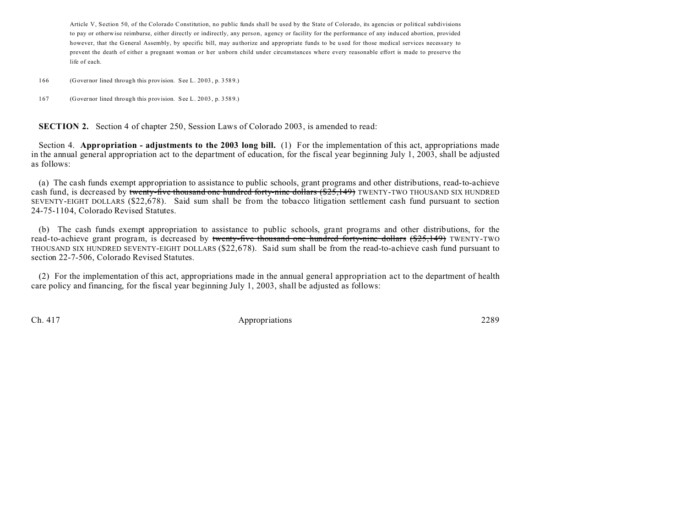Article V, Section 50, of the Colorado Constitution, no public funds shall be used by the State of Colorado, its agencies or political subdivisions to pay or otherwise reimburse, either directly or indirectly, any person, agency or facility for the performance of any indu ced abortion, provided however, that the General Assembly, by specific bill, may au thorize and appropriate funds to be u sed for those medical services necessary to prevent the death of either a pregnant woman or her unborn child under circumstances where every reasonable effort is made to preserve the life of each.

166 (Governor lined through this provision. See L. 20 03 , p. 358 9.)

167 (Governor lined through this provision. See L. 20 03 , p. 358 9.)

**SECTION 2.** Section 4 of chapter 250, Session Laws of Colorado 2003, is amended to read:

Section 4. **Appropriation - adjustments to the 2003 long bill.** (1) For the implementation of this act, appropriations made in the annual general appropriation act to the department of education, for the fiscal year beginning July 1, 2003, shall be adjusted as follows:

(a) The cash funds exempt appropriation to assistance to public schools, grant programs and other distributions, read-to-achieve cash fund, is decreased by twenty-five thousand one hundred forty-nine dollars (\$25,149) TWENTY-TWO THOUSAND SIX HUNDRED SEVENTY-EIGHT DOLLARS (\$22,678). Said sum shall be from the tobacco litigation settlement cash fund pursuant to section 24-75-1104, Colorado Revised Statutes.

(b) The cash funds exempt appropriation to assistance to public schools, grant programs and other distributions, for the read-to-achieve grant program, is decreased by twenty-five thousand one hundred forty-nine dollars (\$25,149) TWENTY-TWO THOUSAND SIX HUNDRED SEVENTY-EIGHT DOLLARS (\$22,678). Said sum shall be from the read-to-achieve cash fund pursuant to section 22-7-506, Colorado Revised Statutes.

(2) For the implementation of this act, appropriations made in the annual general appropriation act to the department of health care policy and financing, for the fiscal year beginning July 1, 2003, shall be adjusted as follows: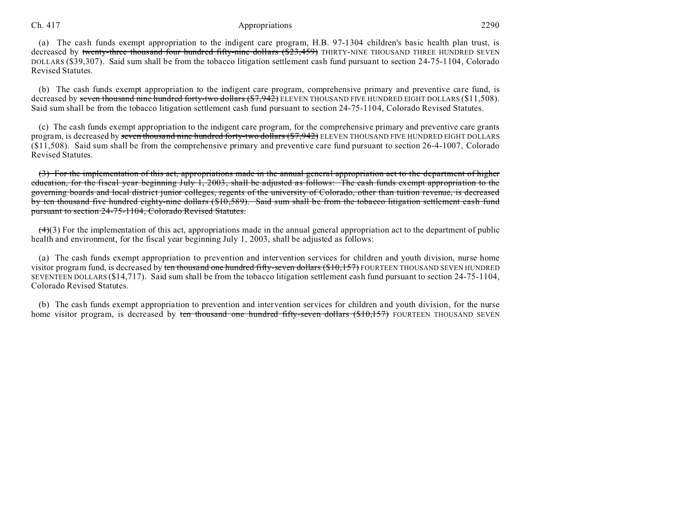# Ch. 417 **Appropriations** 2290

(a) The cash funds exempt appropriation to the indigent care program, H.B. 97-1304 children's basic health plan trust, is decreased by twenty-three thousand four hundred fifty-nine dollars (\$23,459) THIRTY-NINE THOUSAND THREE HUNDRED SEVEN DOLLARS (\$39,307). Said sum shall be from the tobacco litigation settlement cash fund pursuant to section 24-75-1104, Colorado Revised Statutes.

(b) The cash funds exempt appropriation to the indigent care program, comprehensive primary and preventive care fund, is decreased by seven thousand nine hundred forty-two dollars (\$7,942) ELEVEN THOUSAND FIVE HUNDRED EIGHT DOLLARS (\$11,508). Said sum shall be from the tobacco litigation settlement cash fund pursuant to section 24-75-1104, Colorado Revised Statutes.

(c) The cash funds exempt appropriation to the indigent care program, for the comprehensive primary and preventive care grants program, is decreased by seven thousand nine hundred forty-two dollars (\$7,942) ELEVEN THOUSAND FIVE HUNDRED EIGHT DOLLARS (\$11,508). Said sum shall be from the comprehensive primary and preventive care fund pursuant to section 26-4-1007, Colorado Revised Statutes.

(3) For the implementation of this act, appropriations made in the annual general appropriation act to the department of higher education, for the fiscal year beginning July 1, 2003, shall be adjusted as follows: The cash funds exempt appropriation to the governing boards and local district junior colleges, regents of the university of Colorado, other than tuition revenue, is decreased by ten thousand five hundred eighty-nine dollars (\$10,589). Said sum shall be from the tobacco litigation settlement cash fund pursuant to section 24-75-1104, Colorado Revised Statutes.

 $(4)$ (3) For the implementation of this act, appropriations made in the annual general appropriation act to the department of public health and environment, for the fiscal year beginning July 1, 2003, shall be adjusted as follows:

(a) The cash funds exempt appropriation to prevention and intervention services for children and youth division, nurse home visitor program fund, is decreased by ten thousand one hundred fifty-seven dollars (\$10,157) FOURTEEN THOUSAND SEVEN HUNDRED SEVENTEEN DOLLARS (\$14,717). Said sum shall be from the tobacco litigation settlement cash fund pursuant to section 24-75-1104, Colorado Revised Statutes.

(b) The cash funds exempt appropriation to prevention and intervention services for children and youth division, for the nurse home visitor program, is decreased by ten thousand one hundred fifty-seven dollars (\$10,157) FOURTEEN THOUSAND SEVEN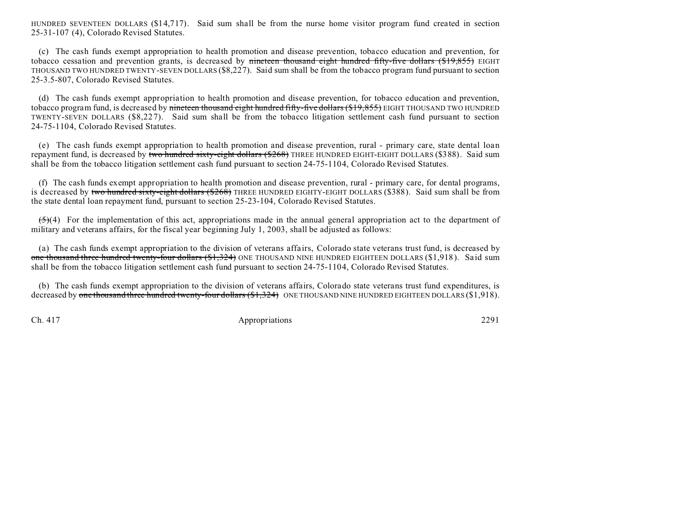HUNDRED SEVENTEEN DOLLARS (\$14,717). Said sum shall be from the nurse home visitor program fund created in section 25-31-107 (4), Colorado Revised Statutes.

(c) The cash funds exempt appropriation to health promotion and disease prevention, tobacco education and prevention, for tobacco cessation and prevention grants, is decreased by nineteen thousand eight hundred fifty-five dollars (\$19,855) EIGHT THOUSAND TWO HUNDRED TWENTY-SEVEN DOLLARS (\$8,227). Said sum shall be from the tobacco program fund pursuant to section 25-3.5-807, Colorado Revised Statutes.

(d) The cash funds exempt appropriation to health promotion and disease prevention, for tobacco education and prevention, tobacco program fund, is decreased by nineteen thousand eight hundred fifty-five dollars (\$19,855) EIGHT THOUSAND TWO HUNDRED TWENTY-SEVEN DOLLARS (\$8,227). Said sum shall be from the tobacco litigation settlement cash fund pursuant to section 24-75-1104, Colorado Revised Statutes.

(e) The cash funds exempt appropriation to health promotion and disease prevention, rural - primary care, state dental loan repayment fund, is decreased by two hundred sixty-eight dollars (\$268) THREE HUNDRED EIGHT-EIGHT DOLLARS (\$388). Said sum shall be from the tobacco litigation settlement cash fund pursuant to section 24-75-1104, Colorado Revised Statutes.

(f) The cash funds exempt appropriation to health promotion and disease prevention, rural - primary care, for dental programs, is decreased by two hundred sixty-eight dollars (\$268) THREE HUNDRED EIGHTY-EIGHT DOLLARS (\$388). Said sum shall be from the state dental loan repayment fund, pursuant to section 25-23-104, Colorado Revised Statutes.

 $(5)(4)$  For the implementation of this act, appropriations made in the annual general appropriation act to the department of military and veterans affairs, for the fiscal year beginning July 1, 2003, shall be adjusted as follows:

(a) The cash funds exempt appropriation to the division of veterans affairs, Colorado state veterans trust fund, is decreased by one thousand three hundred twenty-four dollars (\$1,324) ONE THOUSAND NINE HUNDRED EIGHTEEN DOLLARS (\$1,918). Said sum shall be from the tobacco litigation settlement cash fund pursuant to section 24-75-1104, Colorado Revised Statutes.

(b) The cash funds exempt appropriation to the division of veterans affairs, Colorado state veterans trust fund expenditures, is decreased by one thousand three hundred twenty-four dollars (\$1,324) ONE THOUSAND NINE HUNDRED EIGHTEEN DOLLARS (\$1,918).